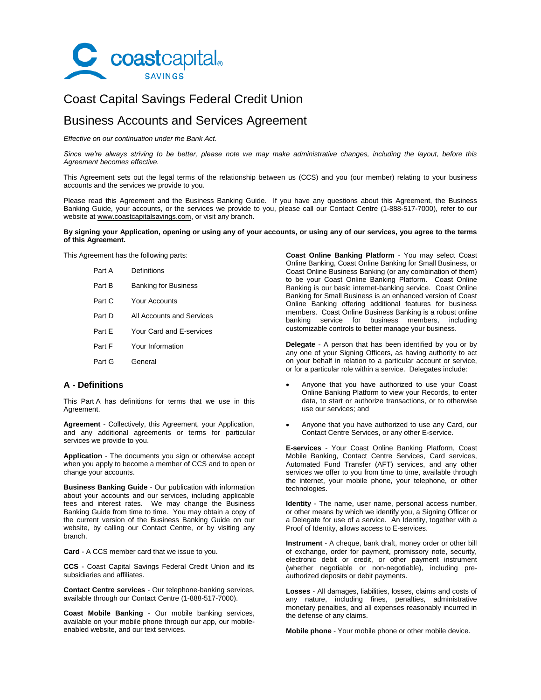

# Coast Capital Savings Federal Credit Union

# Business Accounts and Services Agreement

*Effective on our continuation under the Bank Act.*

*Since we're always striving to be better, please note we may make administrative changes, including the layout, before this Agreement becomes effective.*

This Agreement sets out the legal terms of the relationship between us (CCS) and you (our member) relating to your business accounts and the services we provide to you.

Please read this Agreement and the Business Banking Guide. If you have any questions about this Agreement, the Business Banking Guide, your accounts, or the services we provide to you, please call our Contact Centre (1-888-517-7000), refer to our website at www.coastcapitalsavings.com, or visit any branch.

## **By signing your Application, opening or using any of your accounts, or using any of our services, you agree to the terms of this Agreement.**

This Agreement has the following parts:

| Part A | Definitions                 |
|--------|-----------------------------|
| Part B | <b>Banking for Business</b> |
| Part C | Your Accounts               |
| Part D | All Accounts and Services   |
| Part F | Your Card and E-services    |
| Part F | Your Information            |
| Part G | General                     |
|        |                             |

# **A - Definitions**

This Part A has definitions for terms that we use in this Agreement.

**Agreement** - Collectively, this Agreement, your Application, and any additional agreements or terms for particular services we provide to you.

**Application** - The documents you sign or otherwise accept when you apply to become a member of CCS and to open or change your accounts.

**Business Banking Guide** - Our publication with information about your accounts and our services, including applicable fees and interest rates. We may change the Business Banking Guide from time to time. You may obtain a copy of the current version of the Business Banking Guide on our website, by calling our Contact Centre, or by visiting any branch.

**Card** - A CCS member card that we issue to you.

**CCS** - Coast Capital Savings Federal Credit Union and its subsidiaries and affiliates.

**Contact Centre services** - Our telephone-banking services, available through our Contact Centre (1-888-517-7000).

**Coast Mobile Banking** - Our mobile banking services, available on your mobile phone through our app, our mobileenabled website, and our text services.

**Coast Online Banking Platform** - You may select Coast Online Banking, Coast Online Banking for Small Business, or Coast Online Business Banking (or any combination of them) to be your Coast Online Banking Platform. Coast Online Banking is our basic internet-banking service. Coast Online Banking for Small Business is an enhanced version of Coast Online Banking offering additional features for business members. Coast Online Business Banking is a robust online banking service for business members, including customizable controls to better manage your business.

**Delegate** - A person that has been identified by you or by any one of your Signing Officers, as having authority to act on your behalf in relation to a particular account or service, or for a particular role within a service. Delegates include:

- Anyone that you have authorized to use your Coast Online Banking Platform to view your Records, to enter data, to start or authorize transactions, or to otherwise use our services; and
- Anyone that you have authorized to use any Card, our Contact Centre Services, or any other E-service.

**E-services** - Your Coast Online Banking Platform, Coast Mobile Banking, Contact Centre Services, Card services, Automated Fund Transfer (AFT) services, and any other services we offer to you from time to time, available through the internet, your mobile phone, your telephone, or other technologies.

**Identity** - The name, user name, personal access number, or other means by which we identify you, a Signing Officer or a Delegate for use of a service. An Identity, together with a Proof of Identity, allows access to E-services.

**Instrument** - A cheque, bank draft, money order or other bill of exchange, order for payment, promissory note, security, electronic debit or credit, or other payment instrument (whether negotiable or non-negotiable), including preauthorized deposits or debit payments.

**Losses** - All damages, liabilities, losses, claims and costs of any nature, including fines, penalties, administrative monetary penalties, and all expenses reasonably incurred in the defense of any claims.

**Mobile phone** - Your mobile phone or other mobile device.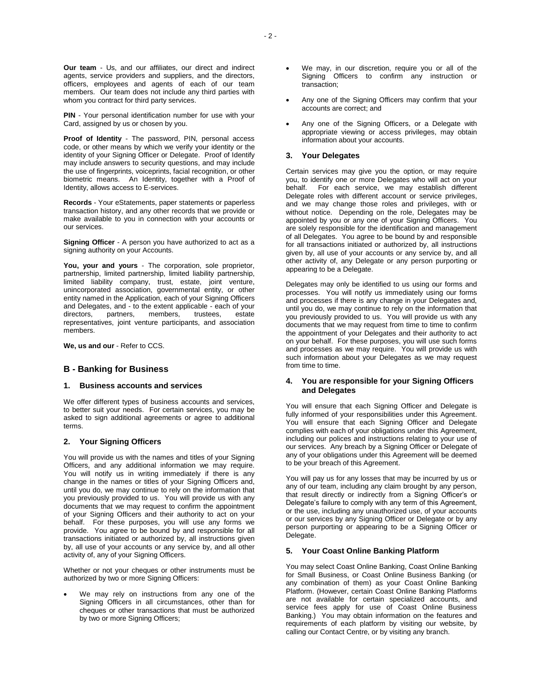**Our team** - Us, and our affiliates, our direct and indirect agents, service providers and suppliers, and the directors, officers, employees and agents of each of our team members. Our team does not include any third parties with whom you contract for third party services.

**PIN** - Your personal identification number for use with your Card, assigned by us or chosen by you.

**Proof of Identity** - The password, PIN, personal access code, or other means by which we verify your identity or the identity of your Signing Officer or Delegate. Proof of Identify may include answers to security questions, and may include the use of fingerprints, voiceprints, facial recognition, or other biometric means. An Identity, together with a Proof of Identity, allows access to E-services.

**Records** - Your eStatements, paper statements or paperless transaction history, and any other records that we provide or make available to you in connection with your accounts or our services.

**Signing Officer** - A person you have authorized to act as a signing authority on your Accounts.

**You, your and yours** - The corporation, sole proprietor, partnership, limited partnership, limited liability partnership, limited liability company, trust, estate, joint venture, unincorporated association, governmental entity, or other entity named in the Application, each of your Signing Officers and Delegates, and - to the extent applicable - each of your directors, partners, members, trustees, estate representatives, joint venture participants, and association members.

**We, us and our** - Refer to CCS.

# **B - Banking for Business**

#### **1. Business accounts and services**

We offer different types of business accounts and services, to better suit your needs. For certain services, you may be asked to sign additional agreements or agree to additional terms.

# **2. Your Signing Officers**

You will provide us with the names and titles of your Signing Officers, and any additional information we may require. You will notify us in writing immediately if there is any change in the names or titles of your Signing Officers and, until you do, we may continue to rely on the information that you previously provided to us. You will provide us with any documents that we may request to confirm the appointment of your Signing Officers and their authority to act on your behalf. For these purposes, you will use any forms we provide. You agree to be bound by and responsible for all transactions initiated or authorized by, all instructions given by, all use of your accounts or any service by, and all other activity of, any of your Signing Officers.

Whether or not your cheques or other instruments must be authorized by two or more Signing Officers:

 We may rely on instructions from any one of the Signing Officers in all circumstances, other than for cheques or other transactions that must be authorized by two or more Signing Officers;

- We may, in our discretion, require you or all of the Signing Officers to confirm any instruction or transaction;
- Any one of the Signing Officers may confirm that your accounts are correct; and
- Any one of the Signing Officers, or a Delegate with appropriate viewing or access privileges, may obtain information about your accounts.

# **3. Your Delegates**

Certain services may give you the option, or may require you, to identify one or more Delegates who will act on your behalf. For each service, we may establish different Delegate roles with different account or service privileges, and we may change those roles and privileges, with or without notice. Depending on the role, Delegates may be appointed by you or any one of your Signing Officers. You are solely responsible for the identification and management of all Delegates. You agree to be bound by and responsible for all transactions initiated or authorized by, all instructions given by, all use of your accounts or any service by, and all other activity of, any Delegate or any person purporting or appearing to be a Delegate.

Delegates may only be identified to us using our forms and processes. You will notify us immediately using our forms and processes if there is any change in your Delegates and, until you do, we may continue to rely on the information that you previously provided to us. You will provide us with any documents that we may request from time to time to confirm the appointment of your Delegates and their authority to act on your behalf. For these purposes, you will use such forms and processes as we may require. You will provide us with such information about your Delegates as we may request from time to time.

# **4. You are responsible for your Signing Officers and Delegates**

You will ensure that each Signing Officer and Delegate is fully informed of your responsibilities under this Agreement. You will ensure that each Signing Officer and Delegate complies with each of your obligations under this Agreement, including our polices and instructions relating to your use of our services. Any breach by a Signing Officer or Delegate of any of your obligations under this Agreement will be deemed to be your breach of this Agreement.

You will pay us for any losses that may be incurred by us or any of our team, including any claim brought by any person, that result directly or indirectly from a Signing Officer's or Delegate's failure to comply with any term of this Agreement. or the use, including any unauthorized use, of your accounts or our services by any Signing Officer or Delegate or by any person purporting or appearing to be a Signing Officer or Delegate.

# **5. Your Coast Online Banking Platform**

You may select Coast Online Banking, Coast Online Banking for Small Business, or Coast Online Business Banking (or any combination of them) as your Coast Online Banking Platform. (However, certain Coast Online Banking Platforms are not available for certain specialized accounts, and service fees apply for use of Coast Online Business Banking.) You may obtain information on the features and requirements of each platform by visiting our website, by calling our Contact Centre, or by visiting any branch.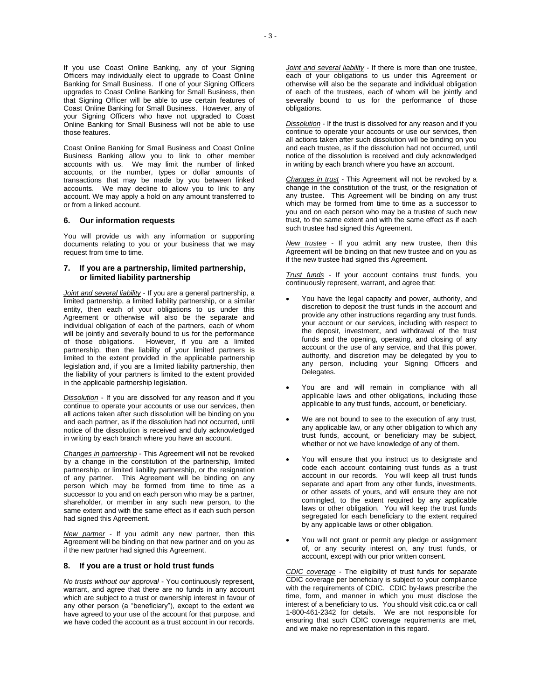If you use Coast Online Banking, any of your Signing Officers may individually elect to upgrade to Coast Online Banking for Small Business. If one of your Signing Officers upgrades to Coast Online Banking for Small Business, then that Signing Officer will be able to use certain features of Coast Online Banking for Small Business. However, any of your Signing Officers who have not upgraded to Coast Online Banking for Small Business will not be able to use those features.

Coast Online Banking for Small Business and Coast Online Business Banking allow you to link to other member accounts with us. We may limit the number of linked accounts, or the number, types or dollar amounts of transactions that may be made by you between linked accounts. We may decline to allow you to link to any account. We may apply a hold on any amount transferred to or from a linked account.

#### **6. Our information requests**

You will provide us with any information or supporting documents relating to you or your business that we may request from time to time.

## **7. If you are a partnership, limited partnership, or limited liability partnership**

*Joint and several liability* - If you are a general partnership, a limited partnership, a limited liability partnership, or a similar entity, then each of your obligations to us under this Agreement or otherwise will also be the separate and individual obligation of each of the partners, each of whom will be jointly and severally bound to us for the performance<br>of those obligations. However, if you are a limited However, if you are a limited partnership, then the liability of your limited partners is limited to the extent provided in the applicable partnership legislation and, if you are a limited liability partnership, then the liability of your partners is limited to the extent provided in the applicable partnership legislation.

*Dissolution* - If you are dissolved for any reason and if you continue to operate your accounts or use our services, then all actions taken after such dissolution will be binding on you and each partner, as if the dissolution had not occurred, until notice of the dissolution is received and duly acknowledged in writing by each branch where you have an account.

*Changes in partnership* - This Agreement will not be revoked by a change in the constitution of the partnership, limited partnership, or limited liability partnership, or the resignation of any partner. This Agreement will be binding on any person which may be formed from time to time as a successor to you and on each person who may be a partner, shareholder, or member in any such new person, to the same extent and with the same effect as if each such person had signed this Agreement.

*New partner* - If you admit any new partner, then this Agreement will be binding on that new partner and on you as if the new partner had signed this Agreement.

#### **8. If you are a trust or hold trust funds**

*No trusts without our approval* - You continuously represent, warrant, and agree that there are no funds in any account which are subject to a trust or ownership interest in favour of any other person (a "beneficiary"), except to the extent we have agreed to your use of the account for that purpose, and we have coded the account as a trust account in our records.

*Joint and several liability* - If there is more than one trustee, each of your obligations to us under this Agreement or otherwise will also be the separate and individual obligation of each of the trustees, each of whom will be jointly and severally bound to us for the performance of those obligations.

*Dissolution* - If the trust is dissolved for any reason and if you continue to operate your accounts or use our services, then all actions taken after such dissolution will be binding on you and each trustee, as if the dissolution had not occurred, until notice of the dissolution is received and duly acknowledged in writing by each branch where you have an account.

*Changes in trust* - This Agreement will not be revoked by a change in the constitution of the trust, or the resignation of any trustee. This Agreement will be binding on any trust which may be formed from time to time as a successor to you and on each person who may be a trustee of such new trust, to the same extent and with the same effect as if each such trustee had signed this Agreement.

*New trustee* - If you admit any new trustee, then this Agreement will be binding on that new trustee and on you as if the new trustee had signed this Agreement.

*Trust funds* - If your account contains trust funds, you continuously represent, warrant, and agree that:

- You have the legal capacity and power, authority, and discretion to deposit the trust funds in the account and provide any other instructions regarding any trust funds, your account or our services, including with respect to the deposit, investment, and withdrawal of the trust funds and the opening, operating, and closing of any account or the use of any service, and that this power, authority, and discretion may be delegated by you to any person, including your Signing Officers and Delegates.
- You are and will remain in compliance with all applicable laws and other obligations, including those applicable to any trust funds, account, or beneficiary.
- We are not bound to see to the execution of any trust, any applicable law, or any other obligation to which any trust funds, account, or beneficiary may be subject, whether or not we have knowledge of any of them.
- You will ensure that you instruct us to designate and code each account containing trust funds as a trust account in our records. You will keep all trust funds separate and apart from any other funds, investments, or other assets of yours, and will ensure they are not comingled, to the extent required by any applicable laws or other obligation. You will keep the trust funds segregated for each beneficiary to the extent required by any applicable laws or other obligation.
- You will not grant or permit any pledge or assignment of, or any security interest on, any trust funds, or account, except with our prior written consent.

*CDIC coverage* - The eligibility of trust funds for separate CDIC coverage per beneficiary is subject to your compliance with the requirements of CDIC. CDIC by-laws prescribe the time, form, and manner in which you must disclose the interest of a beneficiary to us. You should visit cdic.ca or call 1-800-461-2342 for details. We are not responsible for ensuring that such CDIC coverage requirements are met, and we make no representation in this regard.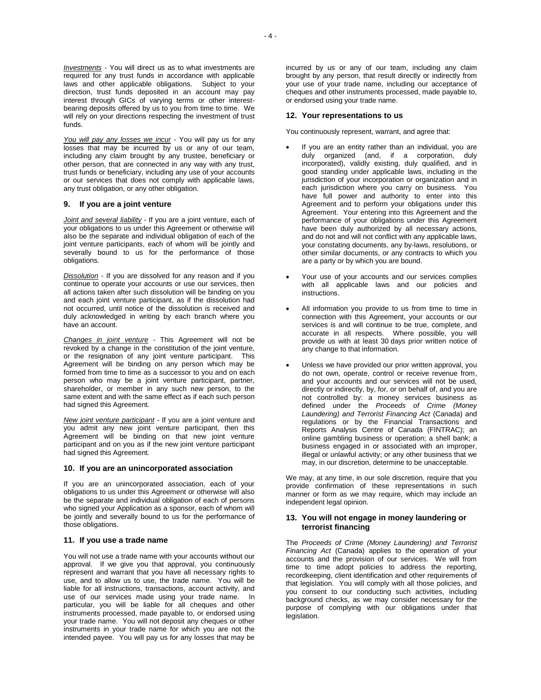*Investments* - You will direct us as to what investments are required for any trust funds in accordance with applicable laws and other applicable obligations. Subject to your direction, trust funds deposited in an account may pay interest through GICs of varying terms or other interestbearing deposits offered by us to you from time to time. We will rely on your directions respecting the investment of trust funds.

*You will pay any losses we incur* - You will pay us for any losses that may be incurred by us or any of our team, including any claim brought by any trustee, beneficiary or other person, that are connected in any way with any trust, trust funds or beneficiary, including any use of your accounts or our services that does not comply with applicable laws, any trust obligation, or any other obligation.

## **9. If you are a joint venture**

*Joint and several liability* - If you are a joint venture, each of your obligations to us under this Agreement or otherwise will also be the separate and individual obligation of each of the joint venture participants, each of whom will be jointly and severally bound to us for the performance of those obligations.

*Dissolution* - If you are dissolved for any reason and if you continue to operate your accounts or use our services, then all actions taken after such dissolution will be binding on you and each joint venture participant, as if the dissolution had not occurred, until notice of the dissolution is received and duly acknowledged in writing by each branch where you have an account.

*Changes in joint venture* - This Agreement will not be revoked by a change in the constitution of the joint venture, or the resignation of any joint venture participant. This Agreement will be binding on any person which may be formed from time to time as a successor to you and on each person who may be a joint venture participant, partner, shareholder, or member in any such new person, to the same extent and with the same effect as if each such person had signed this Agreement.

*New joint venture participant* - If you are a joint venture and you admit any new joint venture participant, then this Agreement will be binding on that new joint venture participant and on you as if the new joint venture participant had signed this Agreement.

#### **10. If you are an unincorporated association**

If you are an unincorporated association, each of your obligations to us under this Agreement or otherwise will also be the separate and individual obligation of each of persons who signed your Application as a sponsor, each of whom will be jointly and severally bound to us for the performance of those obligations.

#### **11. If you use a trade name**

You will not use a trade name with your accounts without our approval. If we give you that approval, you continuously represent and warrant that you have all necessary rights to use, and to allow us to use, the trade name. You will be liable for all instructions, transactions, account activity, and use of our services made using your trade name. In particular, you will be liable for all cheques and other instruments processed, made payable to, or endorsed using your trade name. You will not deposit any cheques or other instruments in your trade name for which you are not the intended payee. You will pay us for any losses that may be

incurred by us or any of our team, including any claim brought by any person, that result directly or indirectly from your use of your trade name, including our acceptance of cheques and other instruments processed, made payable to, or endorsed using your trade name.

#### **12. Your representations to us**

You continuously represent, warrant, and agree that:

- If you are an entity rather than an individual, you are duly organized (and, if a corporation, duly incorporated), validly existing, duly qualified, and in good standing under applicable laws, including in the jurisdiction of your incorporation or organization and in each jurisdiction where you carry on business. You have full power and authority to enter into this Agreement and to perform your obligations under this Agreement. Your entering into this Agreement and the performance of your obligations under this Agreement have been duly authorized by all necessary actions, and do not and will not conflict with any applicable laws, your constating documents, any by-laws, resolutions, or other similar documents, or any contracts to which you are a party or by which you are bound.
- Your use of your accounts and our services complies with all applicable laws and our policies and instructions.
- All information you provide to us from time to time in connection with this Agreement, your accounts or our services is and will continue to be true, complete, and accurate in all respects. Where possible, you will provide us with at least 30 days prior written notice of any change to that information.
- Unless we have provided our prior written approval, you do not own, operate, control or receive revenue from, and your accounts and our services will not be used, directly or indirectly, by, for, or on behalf of, and you are not controlled by: a money services business as defined under the *Proceeds of Crime (Money Laundering) and Terrorist Financing Act* (Canada) and regulations or by the Financial Transactions and Reports Analysis Centre of Canada (FINTRAC); an online gambling business or operation; a shell bank; a business engaged in or associated with an improper, illegal or unlawful activity; or any other business that we may, in our discretion, determine to be unacceptable.

We may, at any time, in our sole discretion, require that you provide confirmation of these representations in such manner or form as we may require, which may include an independent legal opinion.

## **13. You will not engage in money laundering or terrorist financing**

The *Proceeds of Crime (Money Laundering) and Terrorist Financing Act* (Canada) applies to the operation of your accounts and the provision of our services. We will from time to time adopt policies to address the reporting, recordkeeping, client identification and other requirements of that legislation. You will comply with all those policies, and you consent to our conducting such activities, including background checks, as we may consider necessary for the purpose of complying with our obligations under that legislation.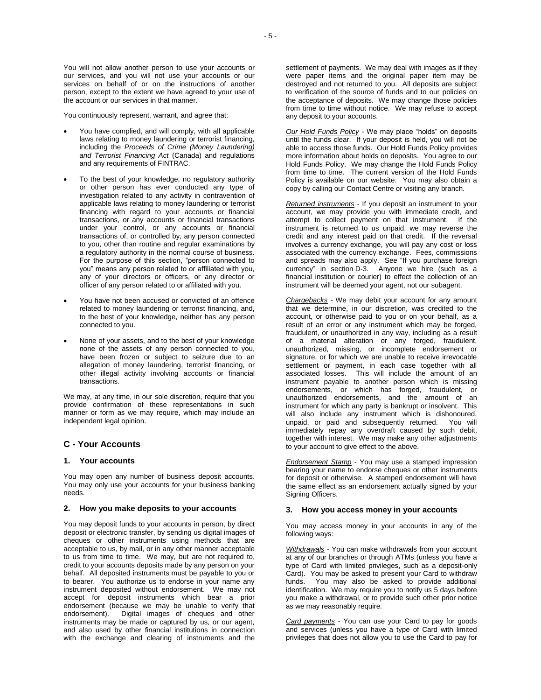You will not allow another person to use your accounts or our services, and you will not use your accounts or our services on behalf of or on the instructions of another person, except to the extent we have agreed to your use of the account or our services in that manner.

You continuously represent, warrant, and agree that:

- You have complied, and will comply, with all applicable laws relating to money laundering or terrorist financing, including the *Proceeds of Crime (Money Laundering) and Terrorist Financing Act* (Canada) and regulations and any requirements of FINTRAC.
- To the best of your knowledge, no regulatory authority or other person has ever conducted any type of investigation related to any activity in contravention of applicable laws relating to money laundering or terrorist financing with regard to your accounts or financial transactions, or any accounts or financial transactions under your control, or any accounts or financial transactions of, or controlled by, any person connected to you, other than routine and regular examinations by a regulatory authority in the normal course of business. For the purpose of this section, "person connected to you" means any person related to or affiliated with you, any of your directors or officers, or any director or officer of any person related to or affiliated with you.
- You have not been accused or convicted of an offence related to money laundering or terrorist financing, and, to the best of your knowledge, neither has any person connected to you.
- None of your assets, and to the best of your knowledge none of the assets of any person connected to you, have been frozen or subject to seizure due to an allegation of money laundering, terrorist financing, or other illegal activity involving accounts or financial transactions.

We may, at any time, in our sole discretion, require that you provide confirmation of these representations in such manner or form as we may require, which may include an independent legal opinion.

# **C - Your Accounts**

## **1. Your accounts**

You may open any number of business deposit accounts. You may only use your accounts for your business banking needs.

#### **2. How you make deposits to your accounts**

You may deposit funds to your accounts in person, by direct deposit or electronic transfer, by sending us digital images of cheques or other instruments using methods that are acceptable to us, by mail, or in any other manner acceptable to us from time to time. We may, but are not required to, credit to your accounts deposits made by any person on your behalf. All deposited instruments must be payable to you or to bearer. You authorize us to endorse in your name any instrument deposited without endorsement. We may not accept for deposit instruments which bear a prior endorsement (because we may be unable to verify that endorsement). Digital images of cheques and other instruments may be made or captured by us, or our agent, and also used by other financial institutions in connection with the exchange and clearing of instruments and the

settlement of payments. We may deal with images as if they were paper items and the original paper item may be destroyed and not returned to you. All deposits are subject to verification of the source of funds and to our policies on the acceptance of deposits. We may change those policies from time to time without notice. We may refuse to accept any deposit to your accounts.

*Our Hold Funds Policy* - We may place "holds" on deposits until the funds clear. If your deposit is held, you will not be able to access those funds. Our Hold Funds Policy provides more information about holds on deposits. You agree to our Hold Funds Policy. We may change the Hold Funds Policy from time to time. The current version of the Hold Funds Policy is available on our website. You may also obtain a copy by calling our Contact Centre or visiting any branch.

*Returned instruments* - If you deposit an instrument to your account, we may provide you with immediate credit, and attempt to collect payment on that instrument. If the instrument is returned to us unpaid, we may reverse the credit and any interest paid on that credit. If the reversal involves a currency exchange, you will pay any cost or loss associated with the currency exchange. Fees, commissions and spreads may also apply. See "If you purchase foreign currency" in section D-3. Anyone we hire (such as a financial institution or courier) to effect the collection of an instrument will be deemed your agent, not our subagent.

*Chargebacks* - We may debit your account for any amount that we determine, in our discretion, was credited to the account, or otherwise paid to you or on your behalf, as a result of an error or any instrument which may be forged, fraudulent, or unauthorized in any way, including as a result of a material alteration or any forged, fraudulent, unauthorized, missing, or incomplete endorsement or signature, or for which we are unable to receive irrevocable settlement or payment, in each case together with all associated losses. This will include the amount of an instrument payable to another person which is missing endorsements, or which has forged, fraudulent, or unauthorized endorsements, and the amount of an instrument for which any party is bankrupt or insolvent. This will also include any instrument which is dishonoured. unpaid, or paid and subsequently returned. You will immediately repay any overdraft caused by such debit, together with interest. We may make any other adjustments to your account to give effect to the above.

*Endorsement Stamp* - You may use a stamped impression bearing your name to endorse cheques or other instruments for deposit or otherwise. A stamped endorsement will have the same effect as an endorsement actually signed by your Signing Officers.

#### **3. How you access money in your accounts**

You may access money in your accounts in any of the following ways:

*Withdrawals* - You can make withdrawals from your account at any of our branches or through ATMs (unless you have a type of Card with limited privileges, such as a deposit-only Card). You may be asked to present your Card to withdraw funds. You may also be asked to provide additional identification. We may require you to notify us 5 days before you make a withdrawal, or to provide such other prior notice as we may reasonably require.

*Card payments* - You can use your Card to pay for goods and services (unless you have a type of Card with limited privileges that does not allow you to use the Card to pay for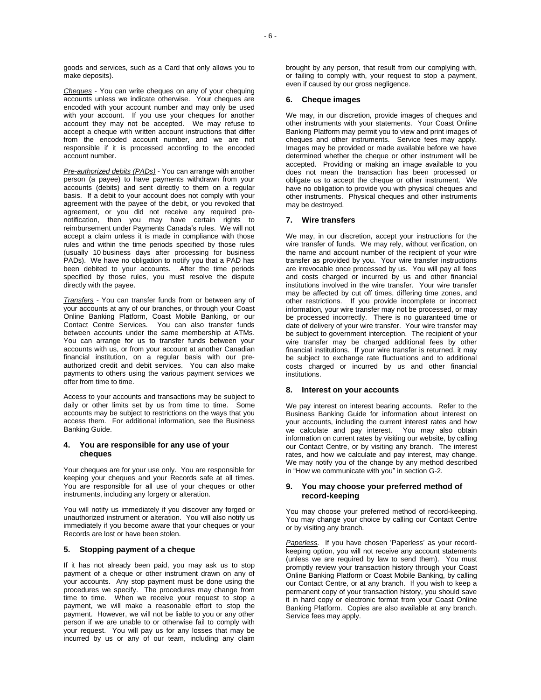*Cheques* - You can write cheques on any of your chequing accounts unless we indicate otherwise. Your cheques are encoded with your account number and may only be used with your account. If you use your cheques for another account they may not be accepted. We may refuse to accept a cheque with written account instructions that differ from the encoded account number, and we are not responsible if it is processed according to the encoded account number.

*Pre-authorized debits (PADs)* - You can arrange with another person (a payee) to have payments withdrawn from your accounts (debits) and sent directly to them on a regular basis. If a debit to your account does not comply with your agreement with the payee of the debit, or you revoked that agreement, or you did not receive any required prenotification, then you may have certain rights to reimbursement under Payments Canada's rules. We will not accept a claim unless it is made in compliance with those rules and within the time periods specified by those rules (usually 10 business days after processing for business PADs). We have no obligation to notify you that a PAD has been debited to your accounts. After the time periods specified by those rules, you must resolve the dispute directly with the payee.

*Transfers* - You can transfer funds from or between any of your accounts at any of our branches, or through your Coast Online Banking Platform, Coast Mobile Banking, or our Contact Centre Services. You can also transfer funds between accounts under the same membership at ATMs. You can arrange for us to transfer funds between your accounts with us, or from your account at another Canadian financial institution, on a regular basis with our preauthorized credit and debit services. You can also make payments to others using the various payment services we offer from time to time.

Access to your accounts and transactions may be subject to daily or other limits set by us from time to time. Some accounts may be subject to restrictions on the ways that you access them. For additional information, see the Business Banking Guide.

# **4. You are responsible for any use of your cheques**

Your cheques are for your use only. You are responsible for keeping your cheques and your Records safe at all times. You are responsible for all use of your cheques or other instruments, including any forgery or alteration.

You will notify us immediately if you discover any forged or unauthorized instrument or alteration. You will also notify us immediately if you become aware that your cheques or your Records are lost or have been stolen.

# **5. Stopping payment of a cheque**

If it has not already been paid, you may ask us to stop payment of a cheque or other instrument drawn on any of your accounts. Any stop payment must be done using the procedures we specify. The procedures may change from time to time. When we receive your request to stop a payment, we will make a reasonable effort to stop the payment. However, we will not be liable to you or any other person if we are unable to or otherwise fail to comply with your request. You will pay us for any losses that may be incurred by us or any of our team, including any claim

brought by any person, that result from our complying with, or failing to comply with, your request to stop a payment, even if caused by our gross negligence.

## **6. Cheque images**

We may, in our discretion, provide images of cheques and other instruments with your statements. Your Coast Online Banking Platform may permit you to view and print images of cheques and other instruments. Service fees may apply. Images may be provided or made available before we have determined whether the cheque or other instrument will be accepted. Providing or making an image available to you does not mean the transaction has been processed or obligate us to accept the cheque or other instrument. We have no obligation to provide you with physical cheques and other instruments. Physical cheques and other instruments may be destroyed.

## **7. Wire transfers**

We may, in our discretion, accept your instructions for the wire transfer of funds. We may rely, without verification, on the name and account number of the recipient of your wire transfer as provided by you. Your wire transfer instructions are irrevocable once processed by us. You will pay all fees and costs charged or incurred by us and other financial institutions involved in the wire transfer. Your wire transfer may be affected by cut off times, differing time zones, and other restrictions. If you provide incomplete or incorrect information, your wire transfer may not be processed, or may be processed incorrectly. There is no guaranteed time or date of delivery of your wire transfer. Your wire transfer may be subject to government interception. The recipient of your wire transfer may be charged additional fees by other financial institutions. If your wire transfer is returned, it may be subject to exchange rate fluctuations and to additional costs charged or incurred by us and other financial institutions.

#### **8. Interest on your accounts**

We pay interest on interest bearing accounts. Refer to the Business Banking Guide for information about interest on your accounts, including the current interest rates and how we calculate and pay interest. You may also obtain information on current rates by visiting our website, by calling our Contact Centre, or by visiting any branch. The interest rates, and how we calculate and pay interest, may change. We may notify you of the change by any method described in "How we communicate with you" in section G-2.

## **9. You may choose your preferred method of record-keeping**

You may choose your preferred method of record-keeping. You may change your choice by calling our Contact Centre or by visiting any branch.

*Paperless.* If you have chosen 'Paperless' as your recordkeeping option, you will not receive any account statements (unless we are required by law to send them). You must promptly review your transaction history through your Coast Online Banking Platform or Coast Mobile Banking, by calling our Contact Centre, or at any branch. If you wish to keep a permanent copy of your transaction history, you should save it in hard copy or electronic format from your Coast Online Banking Platform. Copies are also available at any branch. Service fees may apply.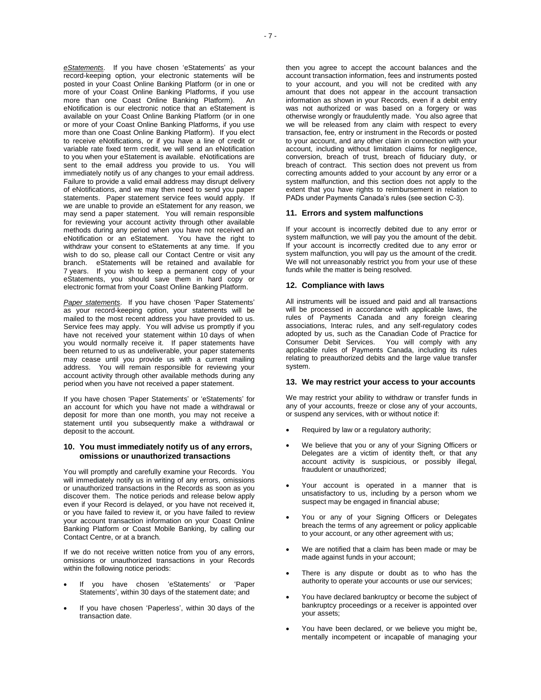*eStatements*. If you have chosen 'eStatements' as your record-keeping option, your electronic statements will be posted in your Coast Online Banking Platform (or in one or more of your Coast Online Banking Platforms, if you use more than one Coast Online Banking Platform). An eNotification is our electronic notice that an eStatement is available on your Coast Online Banking Platform (or in one or more of your Coast Online Banking Platforms, if you use more than one Coast Online Banking Platform). If you elect to receive eNotifications, or if you have a line of credit or variable rate fixed term credit, we will send an eNotification to you when your eStatement is available. eNotifications are sent to the email address you provide to us. You will immediately notify us of any changes to your email address. Failure to provide a valid email address may disrupt delivery of eNotifications, and we may then need to send you paper statements. Paper statement service fees would apply. If we are unable to provide an eStatement for any reason, we may send a paper statement. You will remain responsible for reviewing your account activity through other available methods during any period when you have not received an eNotification or an eStatement. You have the right to withdraw your consent to eStatements at any time. If you wish to do so, please call our Contact Centre or visit any branch. eStatements will be retained and available for 7 years. If you wish to keep a permanent copy of your eStatements, you should save them in hard copy or electronic format from your Coast Online Banking Platform.

*Paper statements*. If you have chosen 'Paper Statements' as your record-keeping option, your statements will be mailed to the most recent address you have provided to us. Service fees may apply. You will advise us promptly if you have not received your statement within 10 days of when you would normally receive it. If paper statements have been returned to us as undeliverable, your paper statements may cease until you provide us with a current mailing address. You will remain responsible for reviewing your account activity through other available methods during any period when you have not received a paper statement.

If you have chosen 'Paper Statements' or 'eStatements' for an account for which you have not made a withdrawal or deposit for more than one month, you may not receive a statement until you subsequently make a withdrawal or deposit to the account.

## **10. You must immediately notify us of any errors, omissions or unauthorized transactions**

You will promptly and carefully examine your Records. You will immediately notify us in writing of any errors, omissions or unauthorized transactions in the Records as soon as you discover them. The notice periods and release below apply even if your Record is delayed, or you have not received it, or you have failed to review it, or you have failed to review your account transaction information on your Coast Online Banking Platform or Coast Mobile Banking, by calling our Contact Centre, or at a branch.

If we do not receive written notice from you of any errors, omissions or unauthorized transactions in your Records within the following notice periods:

- If you have chosen 'eStatements' or 'Paper Statements', within 30 days of the statement date; and
- If you have chosen 'Paperless', within 30 days of the transaction date.

then you agree to accept the account balances and the account transaction information, fees and instruments posted to your account, and you will not be credited with any amount that does not appear in the account transaction information as shown in your Records, even if a debit entry was not authorized or was based on a forgery or was otherwise wrongly or fraudulently made. You also agree that we will be released from any claim with respect to every transaction, fee, entry or instrument in the Records or posted to your account, and any other claim in connection with your account, including without limitation claims for negligence, conversion, breach of trust, breach of fiduciary duty, or breach of contract. This section does not prevent us from correcting amounts added to your account by any error or a system malfunction, and this section does not apply to the extent that you have rights to reimbursement in relation to PADs under Payments Canada's rules (see section C-3).

## **11. Errors and system malfunctions**

If your account is incorrectly debited due to any error or system malfunction, we will pay you the amount of the debit. If your account is incorrectly credited due to any error or system malfunction, you will pay us the amount of the credit. We will not unreasonably restrict you from your use of these funds while the matter is being resolved.

## **12. Compliance with laws**

All instruments will be issued and paid and all transactions will be processed in accordance with applicable laws, the rules of Payments Canada and any foreign clearing associations, Interac rules, and any self-regulatory codes adopted by us, such as the Canadian Code of Practice for Consumer Debit Services. You will comply with any applicable rules of Payments Canada, including its rules relating to preauthorized debits and the large value transfer system.

#### **13. We may restrict your access to your accounts**

We may restrict your ability to withdraw or transfer funds in any of your accounts, freeze or close any of your accounts, or suspend any services, with or without notice if:

- Required by law or a regulatory authority;
- We believe that you or any of your Signing Officers or Delegates are a victim of identity theft, or that any account activity is suspicious, or possibly illegal, fraudulent or unauthorized;
- Your account is operated in a manner that is unsatisfactory to us, including by a person whom we suspect may be engaged in financial abuse;
- You or any of your Signing Officers or Delegates breach the terms of any agreement or policy applicable to your account, or any other agreement with us;
- We are notified that a claim has been made or may be made against funds in your account;
- There is any dispute or doubt as to who has the authority to operate your accounts or use our services;
- You have declared bankruptcy or become the subject of bankruptcy proceedings or a receiver is appointed over your assets;
- You have been declared, or we believe you might be, mentally incompetent or incapable of managing your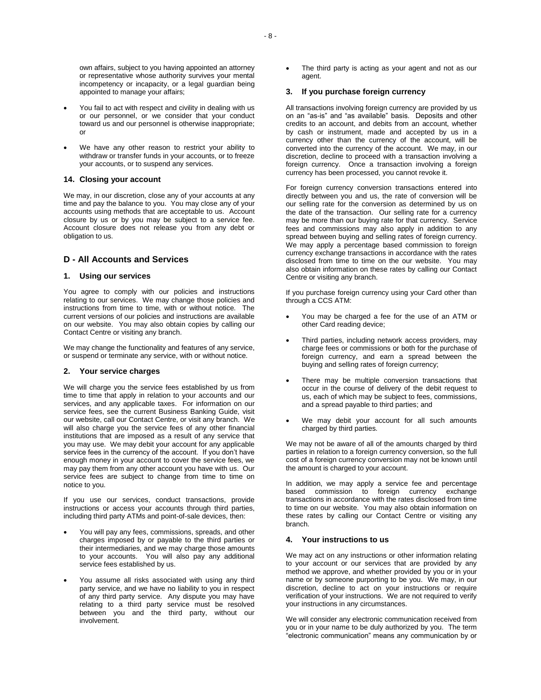- You fail to act with respect and civility in dealing with us or our personnel, or we consider that your conduct toward us and our personnel is otherwise inappropriate; or
- We have any other reason to restrict your ability to withdraw or transfer funds in your accounts, or to freeze your accounts, or to suspend any services.

# **14. Closing your account**

We may, in our discretion, close any of your accounts at any time and pay the balance to you. You may close any of your accounts using methods that are acceptable to us. Account closure by us or by you may be subject to a service fee. Account closure does not release you from any debt or obligation to us.

# **D - All Accounts and Services**

# **1. Using our services**

You agree to comply with our policies and instructions relating to our services. We may change those policies and instructions from time to time, with or without notice. The current versions of our policies and instructions are available on our website. You may also obtain copies by calling our Contact Centre or visiting any branch.

We may change the functionality and features of any service, or suspend or terminate any service, with or without notice.

#### **2. Your service charges**

We will charge you the service fees established by us from time to time that apply in relation to your accounts and our services, and any applicable taxes. For information on our service fees, see the current Business Banking Guide, visit our website, call our Contact Centre, or visit any branch. We will also charge you the service fees of any other financial institutions that are imposed as a result of any service that you may use. We may debit your account for any applicable service fees in the currency of the account. If you don't have enough money in your account to cover the service fees, we may pay them from any other account you have with us. Our service fees are subject to change from time to time on notice to you.

If you use our services, conduct transactions, provide instructions or access your accounts through third parties, including third party ATMs and point-of-sale devices, then:

- You will pay any fees, commissions, spreads, and other charges imposed by or payable to the third parties or their intermediaries, and we may charge those amounts to your accounts. You will also pay any additional service fees established by us.
- You assume all risks associated with using any third party service, and we have no liability to you in respect of any third party service. Any dispute you may have relating to a third party service must be resolved between you and the third party, without our involvement.

 The third party is acting as your agent and not as our agent.

# **3. If you purchase foreign currency**

All transactions involving foreign currency are provided by us on an "as-is" and "as available" basis. Deposits and other credits to an account, and debits from an account, whether by cash or instrument, made and accepted by us in a currency other than the currency of the account, will be converted into the currency of the account. We may, in our discretion, decline to proceed with a transaction involving a foreign currency. Once a transaction involving a foreign currency has been processed, you cannot revoke it.

For foreign currency conversion transactions entered into directly between you and us, the rate of conversion will be our selling rate for the conversion as determined by us on the date of the transaction. Our selling rate for a currency may be more than our buying rate for that currency. Service fees and commissions may also apply in addition to any spread between buying and selling rates of foreign currency. We may apply a percentage based commission to foreign currency exchange transactions in accordance with the rates disclosed from time to time on the our website. You may also obtain information on these rates by calling our Contact Centre or visiting any branch.

If you purchase foreign currency using your Card other than through a CCS ATM:

- You may be charged a fee for the use of an ATM or other Card reading device;
- Third parties, including network access providers, may charge fees or commissions or both for the purchase of foreign currency, and earn a spread between the buying and selling rates of foreign currency;
- There may be multiple conversion transactions that occur in the course of delivery of the debit request to us, each of which may be subject to fees, commissions, and a spread payable to third parties; and
- We may debit your account for all such amounts charged by third parties.

We may not be aware of all of the amounts charged by third parties in relation to a foreign currency conversion, so the full cost of a foreign currency conversion may not be known until the amount is charged to your account.

In addition, we may apply a service fee and percentage based commission to foreign currency exchange transactions in accordance with the rates disclosed from time to time on our website. You may also obtain information on these rates by calling our Contact Centre or visiting any branch.

## **4. Your instructions to us**

We may act on any instructions or other information relating to your account or our services that are provided by any method we approve, and whether provided by you or in your name or by someone purporting to be you. We may, in our discretion, decline to act on your instructions or require verification of your instructions. We are not required to verify your instructions in any circumstances.

We will consider any electronic communication received from you or in your name to be duly authorized by you. The term "electronic communication" means any communication by or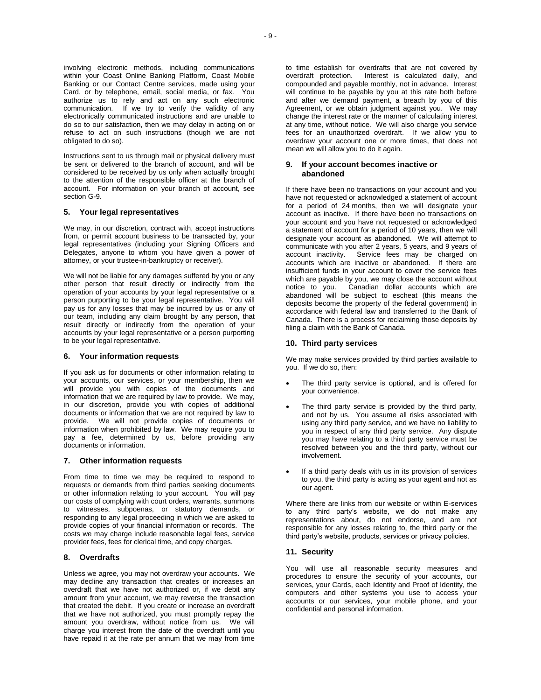involving electronic methods, including communications within your Coast Online Banking Platform, Coast Mobile Banking or our Contact Centre services, made using your Card, or by telephone, email, social media, or fax. You authorize us to rely and act on any such electronic communication. If we try to verify the validity of any electronically communicated instructions and are unable to do so to our satisfaction, then we may delay in acting on or refuse to act on such instructions (though we are not obligated to do so).

Instructions sent to us through mail or physical delivery must be sent or delivered to the branch of account, and will be considered to be received by us only when actually brought to the attention of the responsible officer at the branch of account. For information on your branch of account, see section G-9.

#### **5. Your legal representatives**

We may, in our discretion, contract with, accept instructions from, or permit account business to be transacted by, your legal representatives (including your Signing Officers and Delegates, anyone to whom you have given a power of attorney, or your trustee-in-bankruptcy or receiver).

We will not be liable for any damages suffered by you or any other person that result directly or indirectly from the operation of your accounts by your legal representative or a person purporting to be your legal representative. You will pay us for any losses that may be incurred by us or any of our team, including any claim brought by any person, that result directly or indirectly from the operation of your accounts by your legal representative or a person purporting to be your legal representative.

#### **6. Your information requests**

If you ask us for documents or other information relating to your accounts, our services, or your membership, then we will provide you with copies of the documents and information that we are required by law to provide. We may, in our discretion, provide you with copies of additional documents or information that we are not required by law to provide. We will not provide copies of documents or information when prohibited by law. We may require you to pay a fee, determined by us, before providing any documents or information.

#### **7. Other information requests**

From time to time we may be required to respond to requests or demands from third parties seeking documents or other information relating to your account. You will pay our costs of complying with court orders, warrants, summons to witnesses, subpoenas, or statutory demands, or responding to any legal proceeding in which we are asked to provide copies of your financial information or records. The costs we may charge include reasonable legal fees, service provider fees, fees for clerical time, and copy charges.

#### **8. Overdrafts**

Unless we agree, you may not overdraw your accounts. We may decline any transaction that creates or increases an overdraft that we have not authorized or, if we debit any amount from your account, we may reverse the transaction that created the debit. If you create or increase an overdraft that we have not authorized, you must promptly repay the amount you overdraw, without notice from us. We will charge you interest from the date of the overdraft until you have repaid it at the rate per annum that we may from time

to time establish for overdrafts that are not covered by overdraft protection. Interest is calculated daily, and compounded and payable monthly, not in advance. Interest will continue to be payable by you at this rate both before and after we demand payment, a breach by you of this Agreement, or we obtain judgment against you. We may change the interest rate or the manner of calculating interest at any time, without notice. We will also charge you service fees for an unauthorized overdraft. If we allow you to overdraw your account one or more times, that does not mean we will allow you to do it again.

## **9. If your account becomes inactive or abandoned**

If there have been no transactions on your account and you have not requested or acknowledged a statement of account for a period of 24 months, then we will designate your account as inactive. If there have been no transactions on your account and you have not requested or acknowledged a statement of account for a period of 10 years, then we will designate your account as abandoned. We will attempt to communicate with you after 2 years, 5 years, and 9 years of account inactivity. Service fees may be charged on accounts which are inactive or abandoned. If there are insufficient funds in your account to cover the service fees which are payable by you, we may close the account without notice to you. Canadian dollar accounts which are abandoned will be subject to escheat (this means the deposits become the property of the federal government) in accordance with federal law and transferred to the Bank of Canada. There is a process for reclaiming those deposits by filing a claim with the Bank of Canada.

## **10. Third party services**

We may make services provided by third parties available to you. If we do so, then:

- The third party service is optional, and is offered for your convenience.
- The third party service is provided by the third party, and not by us. You assume all risks associated with using any third party service, and we have no liability to you in respect of any third party service. Any dispute you may have relating to a third party service must be resolved between you and the third party, without our involvement.
- If a third party deals with us in its provision of services to you, the third party is acting as your agent and not as our agent.

Where there are links from our website or within E-services to any third party's website, we do not make any representations about, do not endorse, and are not responsible for any losses relating to, the third party or the third party's website, products, services or privacy policies.

# **11. Security**

You will use all reasonable security measures and procedures to ensure the security of your accounts, our services, your Cards, each Identity and Proof of Identity, the computers and other systems you use to access your accounts or our services, your mobile phone, and your confidential and personal information.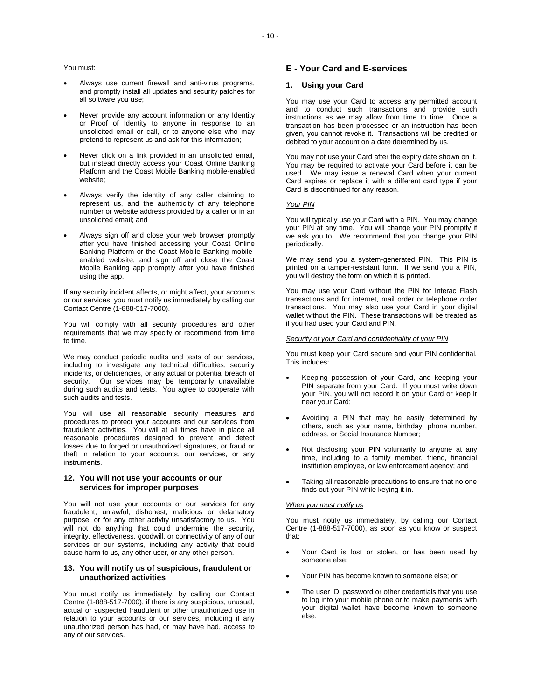#### You must:

- Always use current firewall and anti-virus programs, and promptly install all updates and security patches for all software you use;
- Never provide any account information or any Identity or Proof of Identity to anyone in response to an unsolicited email or call, or to anyone else who may pretend to represent us and ask for this information;
- Never click on a link provided in an unsolicited email, but instead directly access your Coast Online Banking Platform and the Coast Mobile Banking mobile-enabled website:
- Always verify the identity of any caller claiming to represent us, and the authenticity of any telephone number or website address provided by a caller or in an unsolicited email; and
- Always sign off and close your web browser promptly after you have finished accessing your Coast Online Banking Platform or the Coast Mobile Banking mobileenabled website, and sign off and close the Coast Mobile Banking app promptly after you have finished using the app.

If any security incident affects, or might affect, your accounts or our services, you must notify us immediately by calling our Contact Centre (1-888-517-7000).

You will comply with all security procedures and other requirements that we may specify or recommend from time to time.

We may conduct periodic audits and tests of our services, including to investigate any technical difficulties, security incidents, or deficiencies, or any actual or potential breach of security. Our services may be temporarily unavailable during such audits and tests. You agree to cooperate with such audits and tests.

You will use all reasonable security measures and procedures to protect your accounts and our services from fraudulent activities. You will at all times have in place all reasonable procedures designed to prevent and detect losses due to forged or unauthorized signatures, or fraud or theft in relation to your accounts, our services, or any instruments.

## **12. You will not use your accounts or our services for improper purposes**

You will not use your accounts or our services for any fraudulent, unlawful, dishonest, malicious or defamatory purpose, or for any other activity unsatisfactory to us. You will not do anything that could undermine the security, integrity, effectiveness, goodwill, or connectivity of any of our services or our systems, including any activity that could cause harm to us, any other user, or any other person.

# **13. You will notify us of suspicious, fraudulent or unauthorized activities**

You must notify us immediately, by calling our Contact Centre (1-888-517-7000), if there is any suspicious, unusual, actual or suspected fraudulent or other unauthorized use in relation to your accounts or our services, including if any unauthorized person has had, or may have had, access to any of our services.

# **E - Your Card and E-services**

## **1. Using your Card**

You may use your Card to access any permitted account and to conduct such transactions and provide such instructions as we may allow from time to time. Once a transaction has been processed or an instruction has been given, you cannot revoke it. Transactions will be credited or debited to your account on a date determined by us.

You may not use your Card after the expiry date shown on it. You may be required to activate your Card before it can be used. We may issue a renewal Card when your current Card expires or replace it with a different card type if your Card is discontinued for any reason.

#### *Your PIN*

You will typically use your Card with a PIN. You may change your PIN at any time. You will change your PIN promptly if we ask you to. We recommend that you change your PIN periodically.

We may send you a system-generated PIN. This PIN is printed on a tamper-resistant form. If we send you a PIN, you will destroy the form on which it is printed.

You may use your Card without the PIN for Interac Flash transactions and for internet, mail order or telephone order transactions. You may also use your Card in your digital wallet without the PIN. These transactions will be treated as if you had used your Card and PIN.

#### *Security of your Card and confidentiality of your PIN*

You must keep your Card secure and your PIN confidential. This includes:

- Keeping possession of your Card, and keeping your PIN separate from your Card. If you must write down your PIN, you will not record it on your Card or keep it near your Card;
- Avoiding a PIN that may be easily determined by others, such as your name, birthday, phone number, address, or Social Insurance Number;
- Not disclosing your PIN voluntarily to anyone at any time, including to a family member, friend, financial institution employee, or law enforcement agency; and
- Taking all reasonable precautions to ensure that no one finds out your PIN while keying it in.

#### *When you must notify us*

You must notify us immediately, by calling our Contact Centre (1-888-517-7000), as soon as you know or suspect that:

- Your Card is lost or stolen, or has been used by someone else;
- Your PIN has become known to someone else; or
- The user ID, password or other credentials that you use to log into your mobile phone or to make payments with your digital wallet have become known to someone else.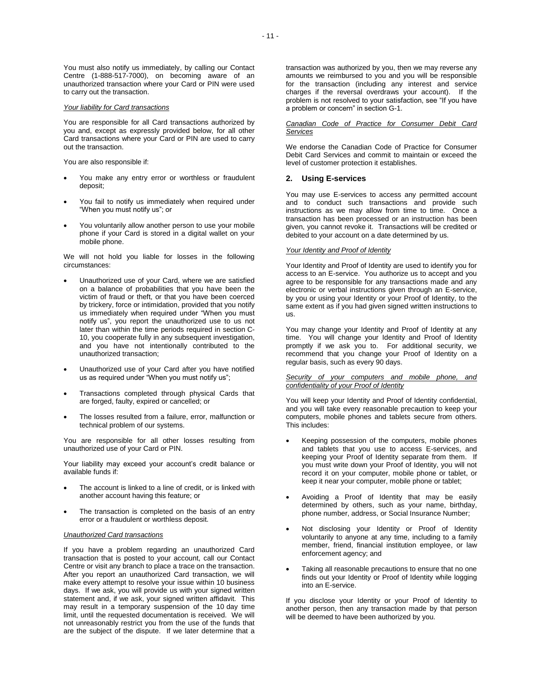You must also notify us immediately, by calling our Contact Centre (1-888-517-7000), on becoming aware of an unauthorized transaction where your Card or PIN were used to carry out the transaction.

#### *Your liability for Card transactions*

You are responsible for all Card transactions authorized by you and, except as expressly provided below, for all other Card transactions where your Card or PIN are used to carry out the transaction.

You are also responsible if:

- You make any entry error or worthless or fraudulent deposit;
- You fail to notify us immediately when required under "When you must notify us"; or
- You voluntarily allow another person to use your mobile phone if your Card is stored in a digital wallet on your mobile phone.

We will not hold you liable for losses in the following circumstances:

- Unauthorized use of your Card, where we are satisfied on a balance of probabilities that you have been the victim of fraud or theft, or that you have been coerced by trickery, force or intimidation, provided that you notify us immediately when required under "When you must notify us", you report the unauthorized use to us not later than within the time periods required in section C-10, you cooperate fully in any subsequent investigation, and you have not intentionally contributed to the unauthorized transaction;
- Unauthorized use of your Card after you have notified us as required under "When you must notify us";
- Transactions completed through physical Cards that are forged, faulty, expired or cancelled; or
- The losses resulted from a failure, error, malfunction or technical problem of our systems.

You are responsible for all other losses resulting from unauthorized use of your Card or PIN.

Your liability may exceed your account's credit balance or available funds if:

- The account is linked to a line of credit, or is linked with another account having this feature; or
- The transaction is completed on the basis of an entry error or a fraudulent or worthless deposit.

## *Unauthorized Card transactions*

If you have a problem regarding an unauthorized Card transaction that is posted to your account, call our Contact Centre or visit any branch to place a trace on the transaction. After you report an unauthorized Card transaction, we will make every attempt to resolve your issue within 10 business days. If we ask, you will provide us with your signed written statement and, if we ask, your signed written affidavit. This may result in a temporary suspension of the 10 day time limit, until the requested documentation is received. We will not unreasonably restrict you from the use of the funds that are the subject of the dispute. If we later determine that a

transaction was authorized by you, then we may reverse any amounts we reimbursed to you and you will be responsible for the transaction (including any interest and service charges if the reversal overdraws your account). If the problem is not resolved to your satisfaction, see "If you have a problem or concern" in section G-1.

#### *Canadian Code of Practice for Consumer Debit Card Services*

We endorse the Canadian Code of Practice for Consumer Debit Card Services and commit to maintain or exceed the level of customer protection it establishes.

# **2. Using E-services**

You may use E-services to access any permitted account and to conduct such transactions and provide such instructions as we may allow from time to time. Once a transaction has been processed or an instruction has been given, you cannot revoke it. Transactions will be credited or debited to your account on a date determined by us.

# *Your Identity and Proof of Identity*

Your Identity and Proof of Identity are used to identify you for access to an E-service. You authorize us to accept and you agree to be responsible for any transactions made and any electronic or verbal instructions given through an E-service, by you or using your Identity or your Proof of Identity, to the same extent as if you had given signed written instructions to us.

You may change your Identity and Proof of Identity at any time. You will change your Identity and Proof of Identity promptly if we ask you to. For additional security, we recommend that you change your Proof of Identity on a regular basis, such as every 90 days.

#### *Security of your computers and mobile phone, and confidentiality of your Proof of Identity*

You will keep your Identity and Proof of Identity confidential, and you will take every reasonable precaution to keep your computers, mobile phones and tablets secure from others. This includes:

- Keeping possession of the computers, mobile phones and tablets that you use to access E-services, and keeping your Proof of Identity separate from them. If you must write down your Proof of Identity, you will not record it on your computer, mobile phone or tablet, or keep it near your computer, mobile phone or tablet;
- Avoiding a Proof of Identity that may be easily determined by others, such as your name, birthday, phone number, address, or Social Insurance Number;
- Not disclosing your Identity or Proof of Identity voluntarily to anyone at any time, including to a family member, friend, financial institution employee, or law enforcement agency; and
- Taking all reasonable precautions to ensure that no one finds out your Identity or Proof of Identity while logging into an E-service.

If you disclose your Identity or your Proof of Identity to another person, then any transaction made by that person will be deemed to have been authorized by you.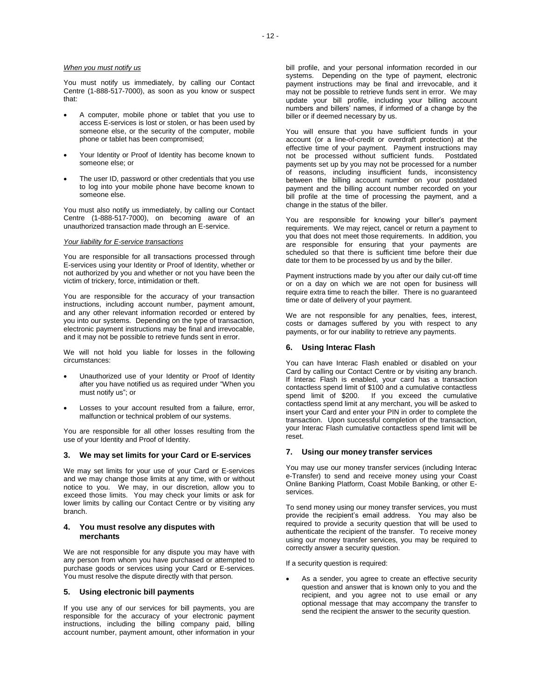You must notify us immediately, by calling our Contact Centre (1-888-517-7000), as soon as you know or suspect that:

- A computer, mobile phone or tablet that you use to access E-services is lost or stolen, or has been used by someone else, or the security of the computer, mobile phone or tablet has been compromised;
- Your Identity or Proof of Identity has become known to someone else; or
- The user ID, password or other credentials that you use to log into your mobile phone have become known to someone else.

You must also notify us immediately, by calling our Contact Centre (1-888-517-7000), on becoming aware of an unauthorized transaction made through an E-service.

#### *Your liability for E-service transactions*

You are responsible for all transactions processed through E-services using your Identity or Proof of Identity, whether or not authorized by you and whether or not you have been the victim of trickery, force, intimidation or theft.

You are responsible for the accuracy of your transaction instructions, including account number, payment amount, and any other relevant information recorded or entered by you into our systems. Depending on the type of transaction, electronic payment instructions may be final and irrevocable, and it may not be possible to retrieve funds sent in error.

We will not hold you liable for losses in the following circumstances:

- Unauthorized use of your Identity or Proof of Identity after you have notified us as required under "When you must notify us"; or
- Losses to your account resulted from a failure, error, malfunction or technical problem of our systems.

You are responsible for all other losses resulting from the use of your Identity and Proof of Identity.

## **3. We may set limits for your Card or E-services**

We may set limits for your use of your Card or E-services and we may change those limits at any time, with or without notice to you. We may, in our discretion, allow you to exceed those limits. You may check your limits or ask for lower limits by calling our Contact Centre or by visiting any branch.

### **4. You must resolve any disputes with merchants**

We are not responsible for any dispute you may have with any person from whom you have purchased or attempted to purchase goods or services using your Card or E-services. You must resolve the dispute directly with that person.

## **5. Using electronic bill payments**

If you use any of our services for bill payments, you are responsible for the accuracy of your electronic payment instructions, including the billing company paid, billing account number, payment amount, other information in your

bill profile, and your personal information recorded in our systems. Depending on the type of payment, electronic payment instructions may be final and irrevocable, and it may not be possible to retrieve funds sent in error. We may update your bill profile, including your billing account numbers and billers' names, if informed of a change by the biller or if deemed necessary by us.

You will ensure that you have sufficient funds in your account (or a line-of-credit or overdraft protection) at the effective time of your payment. Payment instructions may not be processed without sufficient funds. Postdated payments set up by you may not be processed for a number of reasons, including insufficient funds, inconsistency between the billing account number on your postdated payment and the billing account number recorded on your bill profile at the time of processing the payment, and a change in the status of the biller.

You are responsible for knowing your biller's payment requirements. We may reject, cancel or return a payment to you that does not meet those requirements. In addition, you are responsible for ensuring that your payments are scheduled so that there is sufficient time before their due date tor them to be processed by us and by the biller.

Payment instructions made by you after our daily cut-off time or on a day on which we are not open for business will require extra time to reach the biller. There is no guaranteed time or date of delivery of your payment.

We are not responsible for any penalties, fees, interest, costs or damages suffered by you with respect to any payments, or for our inability to retrieve any payments.

## **6. Using lnterac Flash**

You can have Interac Flash enabled or disabled on your Card by calling our Contact Centre or by visiting any branch. If Interac Flash is enabled, your card has a transaction contactless spend limit of \$100 and a cumulative contactless spend limit of \$200. If you exceed the cumulative contactless spend limit at any merchant, you will be asked to insert your Card and enter your PIN in order to complete the transaction. Upon successful completion of the transaction, your lnterac Flash cumulative contactless spend limit will be reset.

#### **7. Using our money transfer services**

You may use our money transfer services (including Interac e-Transfer) to send and receive money using your Coast Online Banking Platform, Coast Mobile Banking, or other Eservices.

To send money using our money transfer services, you must provide the recipient's email address. You may also be required to provide a security question that will be used to authenticate the recipient of the transfer. To receive money using our money transfer services, you may be required to correctly answer a security question.

If a security question is required:

 As a sender, you agree to create an effective security question and answer that is known only to you and the recipient, and you agree not to use email or any optional message that may accompany the transfer to send the recipient the answer to the security question.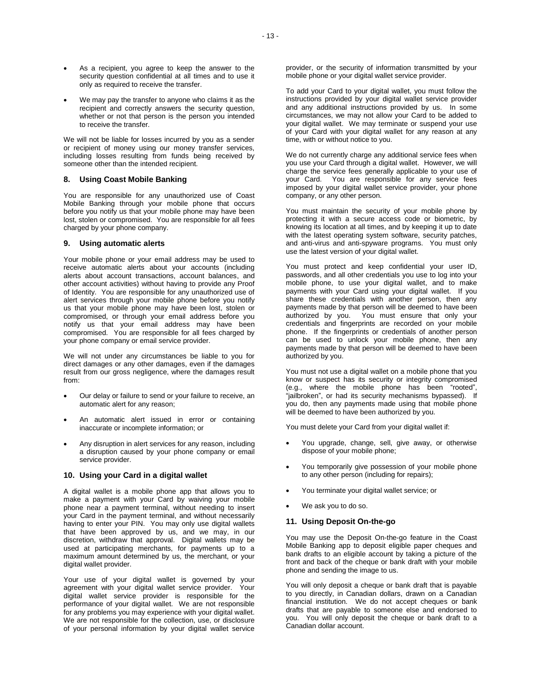- As a recipient, you agree to keep the answer to the security question confidential at all times and to use it only as required to receive the transfer.
- We may pay the transfer to anyone who claims it as the recipient and correctly answers the security question, whether or not that person is the person you intended to receive the transfer.

We will not be liable for losses incurred by you as a sender or recipient of money using our money transfer services, including losses resulting from funds being received by someone other than the intended recipient.

## **8. Using Coast Mobile Banking**

You are responsible for any unauthorized use of Coast Mobile Banking through your mobile phone that occurs before you notify us that your mobile phone may have been lost, stolen or compromised. You are responsible for all fees charged by your phone company.

## **9. Using automatic alerts**

Your mobile phone or your email address may be used to receive automatic alerts about your accounts (including alerts about account transactions, account balances, and other account activities) without having to provide any Proof of Identity. You are responsible for any unauthorized use of alert services through your mobile phone before you notify us that your mobile phone may have been lost, stolen or compromised, or through your email address before you notify us that your email address may have been compromised. You are responsible for all fees charged by your phone company or email service provider.

We will not under any circumstances be liable to you for direct damages or any other damages, even if the damages result from our gross negligence, where the damages result from:

- Our delay or failure to send or your failure to receive, an automatic alert for any reason;
- An automatic alert issued in error or containing inaccurate or incomplete information; or
- Any disruption in alert services for any reason, including a disruption caused by your phone company or email service provider.

#### **10. Using your Card in a digital wallet**

A digital wallet is a mobile phone app that allows you to make a payment with your Card by waiving your mobile phone near a payment terminal, without needing to insert your Card in the payment terminal, and without necessarily having to enter your PIN. You may only use digital wallets that have been approved by us, and we may, in our discretion, withdraw that approval. Digital wallets may be used at participating merchants, for payments up to a maximum amount determined by us, the merchant, or your digital wallet provider.

Your use of your digital wallet is governed by your agreement with your digital wallet service provider. Your digital wallet service provider is responsible for the performance of your digital wallet. We are not responsible for any problems you may experience with your digital wallet. We are not responsible for the collection, use, or disclosure of your personal information by your digital wallet service

To add your Card to your digital wallet, you must follow the instructions provided by your digital wallet service provider and any additional instructions provided by us. In some circumstances, we may not allow your Card to be added to your digital wallet. We may terminate or suspend your use of your Card with your digital wallet for any reason at any time, with or without notice to you.

We do not currently charge any additional service fees when you use your Card through a digital wallet. However, we will charge the service fees generally applicable to your use of your Card. You are responsible for any service fees imposed by your digital wallet service provider, your phone company, or any other person.

You must maintain the security of your mobile phone by protecting it with a secure access code or biometric, by knowing its location at all times, and by keeping it up to date with the latest operating system software, security patches, and anti-virus and anti-spyware programs. You must only use the latest version of your digital wallet.

You must protect and keep confidential your user ID, passwords, and all other credentials you use to log into your mobile phone, to use your digital wallet, and to make payments with your Card using your digital wallet. If you share these credentials with another person, then any payments made by that person will be deemed to have been authorized by you. You must ensure that only your credentials and fingerprints are recorded on your mobile phone. If the fingerprints or credentials of another person can be used to unlock your mobile phone, then any payments made by that person will be deemed to have been authorized by you.

You must not use a digital wallet on a mobile phone that you know or suspect has its security or integrity compromised (e.g., where the mobile phone has been "rooted", "jailbroken", or had its security mechanisms bypassed). If you do, then any payments made using that mobile phone will be deemed to have been authorized by you.

You must delete your Card from your digital wallet if:

- You upgrade, change, sell, give away, or otherwise dispose of your mobile phone;
- You temporarily give possession of your mobile phone to any other person (including for repairs);
- You terminate your digital wallet service; or
- We ask you to do so.

# **11. Using Deposit On-the-go**

You may use the Deposit On-the-go feature in the Coast Mobile Banking app to deposit eligible paper cheques and bank drafts to an eligible account by taking a picture of the front and back of the cheque or bank draft with your mobile phone and sending the image to us.

You will only deposit a cheque or bank draft that is payable to you directly, in Canadian dollars, drawn on a Canadian financial institution. We do not accept cheques or bank drafts that are payable to someone else and endorsed to you. You will only deposit the cheque or bank draft to a Canadian dollar account.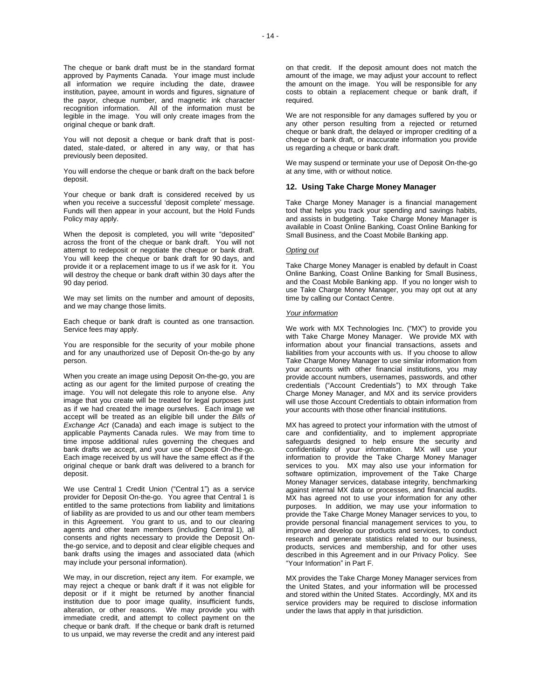You will not deposit a cheque or bank draft that is postdated, stale-dated, or altered in any way, or that has previously been deposited.

You will endorse the cheque or bank draft on the back before deposit.

Your cheque or bank draft is considered received by us when you receive a successful 'deposit complete' message. Funds will then appear in your account, but the Hold Funds Policy may apply.

When the deposit is completed, you will write "deposited" across the front of the cheque or bank draft. You will not attempt to redeposit or negotiate the cheque or bank draft. You will keep the cheque or bank draft for 90 days, and provide it or a replacement image to us if we ask for it. You will destroy the cheque or bank draft within 30 days after the 90 day period.

We may set limits on the number and amount of deposits, and we may change those limits.

Each cheque or bank draft is counted as one transaction. Service fees may apply.

You are responsible for the security of your mobile phone and for any unauthorized use of Deposit On-the-go by any person.

When you create an image using Deposit On-the-go, you are acting as our agent for the limited purpose of creating the image. You will not delegate this role to anyone else. Any image that you create will be treated for legal purposes just as if we had created the image ourselves. Each image we accept will be treated as an eligible bill under the *Bills of Exchange Act* (Canada) and each image is subject to the applicable Payments Canada rules. We may from time to time impose additional rules governing the cheques and bank drafts we accept, and your use of Deposit On-the-go. Each image received by us will have the same effect as if the original cheque or bank draft was delivered to a branch for deposit.

We use Central 1 Credit Union ("Central 1") as a service provider for Deposit On-the-go. You agree that Central 1 is entitled to the same protections from liability and limitations of liability as are provided to us and our other team members in this Agreement. You grant to us, and to our clearing agents and other team members (including Central 1), all consents and rights necessary to provide the Deposit Onthe-go service, and to deposit and clear eligible cheques and bank drafts using the images and associated data (which may include your personal information).

We may, in our discretion, reject any item. For example, we may reject a cheque or bank draft if it was not eligible for deposit or if it might be returned by another financial institution due to poor image quality, insufficient funds, alteration, or other reasons. We may provide you with immediate credit, and attempt to collect payment on the cheque or bank draft. If the cheque or bank draft is returned to us unpaid, we may reverse the credit and any interest paid

on that credit. If the deposit amount does not match the amount of the image, we may adjust your account to reflect the amount on the image. You will be responsible for any costs to obtain a replacement cheque or bank draft, if required.

We are not responsible for any damages suffered by you or any other person resulting from a rejected or returned cheque or bank draft, the delayed or improper crediting of a cheque or bank draft, or inaccurate information you provide us regarding a cheque or bank draft.

We may suspend or terminate your use of Deposit On-the-go at any time, with or without notice.

# **12. Using Take Charge Money Manager**

Take Charge Money Manager is a financial management tool that helps you track your spending and savings habits, and assists in budgeting. Take Charge Money Manager is available in Coast Online Banking, Coast Online Banking for Small Business, and the Coast Mobile Banking app.

#### *Opting out*

Take Charge Money Manager is enabled by default in Coast Online Banking, Coast Online Banking for Small Business, and the Coast Mobile Banking app. If you no longer wish to use Take Charge Money Manager, you may opt out at any time by calling our Contact Centre.

#### *Your information*

We work with MX Technologies Inc. ("MX") to provide you with Take Charge Money Manager. We provide MX with information about your financial transactions, assets and liabilities from your accounts with us. If you choose to allow Take Charge Money Manager to use similar information from your accounts with other financial institutions, you may provide account numbers, usernames, passwords, and other credentials ("Account Credentials") to MX through Take Charge Money Manager, and MX and its service providers will use those Account Credentials to obtain information from your accounts with those other financial institutions.

MX has agreed to protect your information with the utmost of care and confidentiality, and to implement appropriate safeguards designed to help ensure the security and confidentiality of your information. MX will use your information to provide the Take Charge Money Manager services to you. MX may also use your information for software optimization, improvement of the Take Charge Money Manager services, database integrity, benchmarking against internal MX data or processes, and financial audits. MX has agreed not to use your information for any other purposes. In addition, we may use your information to provide the Take Charge Money Manager services to you, to provide personal financial management services to you, to improve and develop our products and services, to conduct research and generate statistics related to our business, products, services and membership, and for other uses described in this Agreement and in our Privacy Policy. See "Your Information" in Part F.

MX provides the Take Charge Money Manager services from the United States, and your information will be processed and stored within the United States. Accordingly, MX and its service providers may be required to disclose information under the laws that apply in that jurisdiction.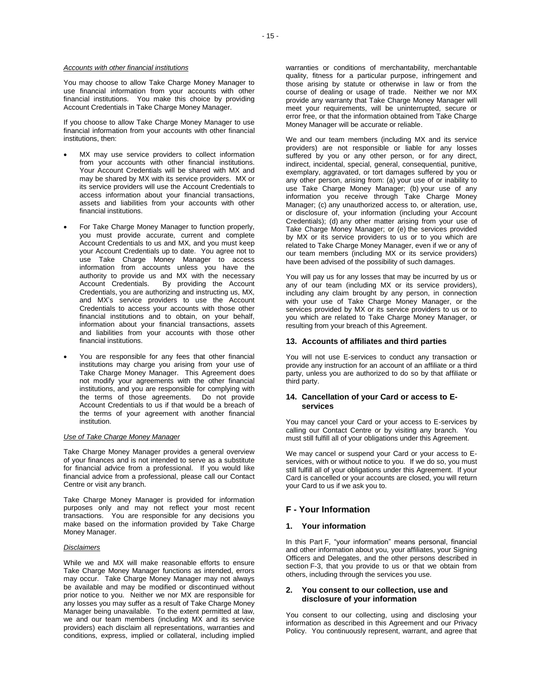#### *Accounts with other financial institutions*

You may choose to allow Take Charge Money Manager to use financial information from your accounts with other financial institutions. You make this choice by providing Account Credentials in Take Charge Money Manager.

If you choose to allow Take Charge Money Manager to use financial information from your accounts with other financial institutions, then:

- MX may use service providers to collect information from your accounts with other financial institutions. Your Account Credentials will be shared with MX and may be shared by MX with its service providers. MX or its service providers will use the Account Credentials to access information about your financial transactions, assets and liabilities from your accounts with other financial institutions.
- For Take Charge Money Manager to function properly, you must provide accurate, current and complete Account Credentials to us and MX, and you must keep your Account Credentials up to date. You agree not to use Take Charge Money Manager to access information from accounts unless you have the authority to provide us and MX with the necessary<br>Account Credentials. By providing the Account By providing the Account Credentials, you are authorizing and instructing us, MX, and MX's service providers to use the Account Credentials to access your accounts with those other financial institutions and to obtain, on your behalf, information about your financial transactions, assets and liabilities from your accounts with those other financial institutions.
- You are responsible for any fees that other financial institutions may charge you arising from your use of Take Charge Money Manager. This Agreement does not modify your agreements with the other financial institutions, and you are responsible for complying with the terms of those agreements. Do not provide Account Credentials to us if that would be a breach of the terms of your agreement with another financial institution.

## *Use of Take Charge Money Manager*

Take Charge Money Manager provides a general overview of your finances and is not intended to serve as a substitute for financial advice from a professional. If you would like financial advice from a professional, please call our Contact Centre or visit any branch.

Take Charge Money Manager is provided for information purposes only and may not reflect your most recent transactions. You are responsible for any decisions you make based on the information provided by Take Charge Money Manager.

#### *Disclaimers*

While we and MX will make reasonable efforts to ensure Take Charge Money Manager functions as intended, errors may occur. Take Charge Money Manager may not always be available and may be modified or discontinued without prior notice to you. Neither we nor MX are responsible for any losses you may suffer as a result of Take Charge Money Manager being unavailable. To the extent permitted at law, we and our team members (including MX and its service providers) each disclaim all representations, warranties and conditions, express, implied or collateral, including implied warranties or conditions of merchantability, merchantable quality, fitness for a particular purpose, infringement and those arising by statute or otherwise in law or from the course of dealing or usage of trade. Neither we nor MX provide any warranty that Take Charge Money Manager will meet your requirements, will be uninterrupted, secure or error free, or that the information obtained from Take Charge Money Manager will be accurate or reliable.

We and our team members (including MX and its service providers) are not responsible or liable for any losses suffered by you or any other person, or for any direct, indirect, incidental, special, general, consequential, punitive, exemplary, aggravated, or tort damages suffered by you or any other person, arising from: (a) your use of or inability to use Take Charge Money Manager; (b) your use of any information you receive through Take Charge Money Manager; (c) any unauthorized access to, or alteration, use, or disclosure of, your information (including your Account Credentials); (d) any other matter arising from your use of Take Charge Money Manager; or (e) the services provided by MX or its service providers to us or to you which are related to Take Charge Money Manager, even if we or any of our team members (including MX or its service providers) have been advised of the possibility of such damages.

You will pay us for any losses that may be incurred by us or any of our team (including MX or its service providers), including any claim brought by any person, in connection with your use of Take Charge Money Manager, or the services provided by MX or its service providers to us or to you which are related to Take Charge Money Manager, or resulting from your breach of this Agreement.

### **13. Accounts of affiliates and third parties**

You will not use E-services to conduct any transaction or provide any instruction for an account of an affiliate or a third party, unless you are authorized to do so by that affiliate or third party.

## **14. Cancellation of your Card or access to Eservices**

You may cancel your Card or your access to E-services by calling our Contact Centre or by visiting any branch. You must still fulfill all of your obligations under this Agreement.

We may cancel or suspend your Card or your access to Eservices, with or without notice to you. If we do so, you must still fulfill all of your obligations under this Agreement. If your Card is cancelled or your accounts are closed, you will return your Card to us if we ask you to.

# **F - Your Information**

# **1. Your information**

In this Part F, "your information" means personal, financial and other information about you, your affiliates, your Signing Officers and Delegates, and the other persons described in section F-3, that you provide to us or that we obtain from others, including through the services you use.

## **2. You consent to our collection, use and disclosure of your information**

You consent to our collecting, using and disclosing your information as described in this Agreement and our Privacy Policy. You continuously represent, warrant, and agree that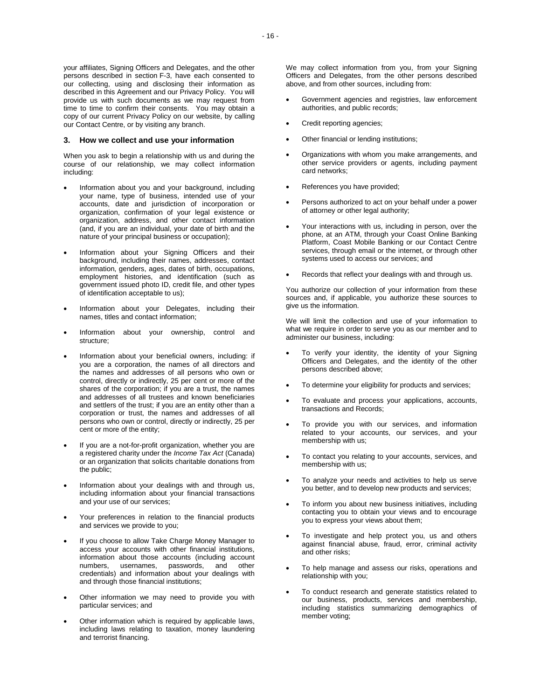your affiliates, Signing Officers and Delegates, and the other persons described in section F-3, have each consented to our collecting, using and disclosing their information as described in this Agreement and our Privacy Policy. You will provide us with such documents as we may request from time to time to confirm their consents. You may obtain a copy of our current Privacy Policy on our website, by calling our Contact Centre, or by visiting any branch.

## **3. How we collect and use your information**

When you ask to begin a relationship with us and during the course of our relationship, we may collect information including:

- Information about you and your background, including your name, type of business, intended use of your accounts, date and jurisdiction of incorporation or organization, confirmation of your legal existence or organization, address, and other contact information (and, if you are an individual, your date of birth and the nature of your principal business or occupation);
- Information about your Signing Officers and their background, including their names, addresses, contact information, genders, ages, dates of birth, occupations, employment histories, and identification (such as government issued photo ID, credit file, and other types of identification acceptable to us);
- Information about your Delegates, including their names, titles and contact information;
- Information about your ownership, control and structure;
- Information about your beneficial owners, including: if you are a corporation, the names of all directors and the names and addresses of all persons who own or control, directly or indirectly, 25 per cent or more of the shares of the corporation; if you are a trust, the names and addresses of all trustees and known beneficiaries and settlers of the trust; if you are an entity other than a corporation or trust, the names and addresses of all persons who own or control, directly or indirectly, 25 per cent or more of the entity;
- If you are a not-for-profit organization, whether you are a registered charity under the *Income Tax Act* (Canada) or an organization that solicits charitable donations from the public;
- Information about your dealings with and through us, including information about your financial transactions and your use of our services;
- Your preferences in relation to the financial products and services we provide to you;
- If you choose to allow Take Charge Money Manager to access your accounts with other financial institutions, information about those accounts (including account numbers. usernames. passwords. and other usernames, passwords, and credentials) and information about your dealings with and through those financial institutions;
- Other information we may need to provide you with particular services; and
- Other information which is required by applicable laws, including laws relating to taxation, money laundering and terrorist financing.

We may collect information from you, from your Signing Officers and Delegates, from the other persons described above, and from other sources, including from:

- Government agencies and registries, law enforcement authorities, and public records;
- Credit reporting agencies;
- Other financial or lending institutions;
- Organizations with whom you make arrangements, and other service providers or agents, including payment card networks;
- References you have provided;
- Persons authorized to act on your behalf under a power of attorney or other legal authority;
- Your interactions with us, including in person, over the phone, at an ATM, through your Coast Online Banking Platform, Coast Mobile Banking or our Contact Centre services, through email or the internet, or through other systems used to access our services; and
- Records that reflect your dealings with and through us.

You authorize our collection of your information from these sources and, if applicable, you authorize these sources to give us the information.

We will limit the collection and use of your information to what we require in order to serve you as our member and to administer our business, including:

- To verify your identity, the identity of your Signing Officers and Delegates, and the identity of the other persons described above;
- To determine your eligibility for products and services;
- To evaluate and process your applications, accounts, transactions and Records;
- To provide you with our services, and information related to your accounts, our services, and your membership with us;
- To contact you relating to your accounts, services, and membership with us;
- To analyze your needs and activities to help us serve you better, and to develop new products and services;
- To inform you about new business initiatives, including contacting you to obtain your views and to encourage you to express your views about them;
- To investigate and help protect you, us and others against financial abuse, fraud, error, criminal activity and other risks;
- To help manage and assess our risks, operations and relationship with you;
- To conduct research and generate statistics related to our business, products, services and membership, including statistics summarizing demographics of member voting;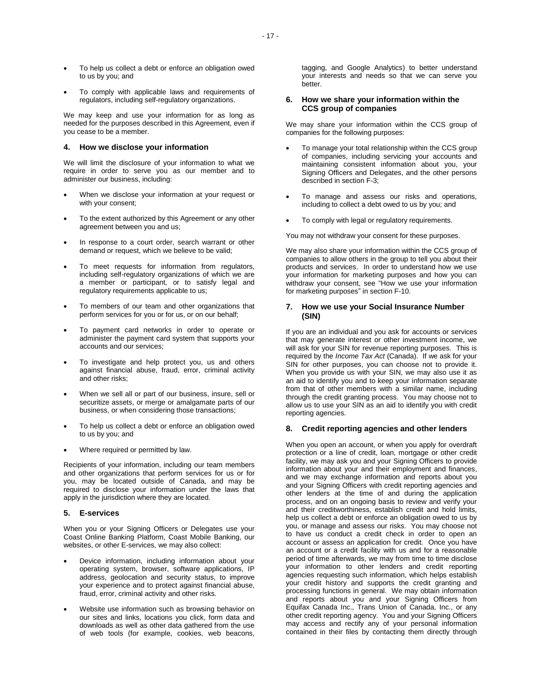- To help us collect a debt or enforce an obligation owed to us by you; and
- To comply with applicable laws and requirements of regulators, including self-regulatory organizations.

We may keep and use your information for as long as needed for the purposes described in this Agreement, even if you cease to be a member.

## **4. How we disclose your information**

We will limit the disclosure of your information to what we require in order to serve you as our member and to administer our business, including:

- When we disclose your information at your request or with your consent;
- To the extent authorized by this Agreement or any other agreement between you and us;
- In response to a court order, search warrant or other demand or request, which we believe to be valid;
- To meet requests for information from regulators, including self-regulatory organizations of which we are a member or participant, or to satisfy legal and regulatory requirements applicable to us;
- To members of our team and other organizations that perform services for you or for us, or on our behalf;
- To payment card networks in order to operate or administer the payment card system that supports your accounts and our services;
- To investigate and help protect you, us and others against financial abuse, fraud, error, criminal activity and other risks;
- When we sell all or part of our business, insure, sell or securitize assets, or merge or amalgamate parts of our business, or when considering those transactions;
- To help us collect a debt or enforce an obligation owed to us by you; and
- Where required or permitted by law.

Recipients of your information, including our team members and other organizations that perform services for us or for you, may be located outside of Canada, and may be required to disclose your information under the laws that apply in the jurisdiction where they are located.

#### **5. E-services**

When you or your Signing Officers or Delegates use your Coast Online Banking Platform, Coast Mobile Banking, our websites, or other E-services, we may also collect:

- Device information, including information about your operating system, browser, software applications, IP address, geolocation and security status, to improve your experience and to protect against financial abuse, fraud, error, criminal activity and other risks.
- Website use information such as browsing behavior on our sites and links, locations you click, form data and downloads as well as other data gathered from the use of web tools (for example, cookies, web beacons,

tagging, and Google Analytics) to better understand your interests and needs so that we can serve you better.

## **6. How we share your information within the CCS group of companies**

We may share your information within the CCS group of companies for the following purposes:

- To manage your total relationship within the CCS group of companies, including servicing your accounts and maintaining consistent information about you, your Signing Officers and Delegates, and the other persons described in section F-3;
- To manage and assess our risks and operations, including to collect a debt owed to us by you; and
- To comply with legal or regulatory requirements.

You may not withdraw your consent for these purposes.

We may also share your information within the CCS group of companies to allow others in the group to tell you about their products and services. In order to understand how we use your information for marketing purposes and how you can withdraw your consent, see "How we use your information for marketing purposes" in section F-10.

## **7. How we use your Social Insurance Number (SIN)**

If you are an individual and you ask for accounts or services that may generate interest or other investment income, we will ask for your SIN for revenue reporting purposes. This is required by the *Income Tax Act* (Canada). If we ask for your SIN for other purposes, you can choose not to provide it. When you provide us with your SIN, we may also use it as an aid to identify you and to keep your information separate from that of other members with a similar name, including through the credit granting process. You may choose not to allow us to use your SIN as an aid to identify you with credit reporting agencies.

#### **8. Credit reporting agencies and other lenders**

When you open an account, or when you apply for overdraft protection or a line of credit, loan, mortgage or other credit facility, we may ask you and your Signing Officers to provide information about your and their employment and finances, and we may exchange information and reports about you and your Signing Officers with credit reporting agencies and other lenders at the time of and during the application process, and on an ongoing basis to review and verify your and their creditworthiness, establish credit and hold limits, help us collect a debt or enforce an obligation owed to us by you, or manage and assess our risks. You may choose not to have us conduct a credit check in order to open an account or assess an application for credit. Once you have an account or a credit facility with us and for a reasonable period of time afterwards, we may from time to time disclose your information to other lenders and credit reporting agencies requesting such information, which helps establish your credit history and supports the credit granting and processing functions in general. We may obtain information and reports about you and your Signing Officers from Equifax Canada Inc., Trans Union of Canada, Inc., or any other credit reporting agency. You and your Signing Officers may access and rectify any of your personal information contained in their files by contacting them directly through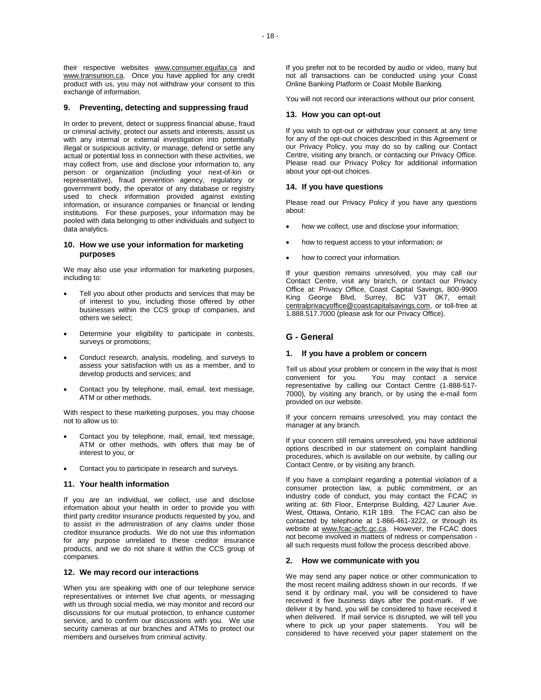their respective websites www.consumer.equifax.ca and www.transunion.ca. Once you have applied for any credit product with us, you may not withdraw your consent to this exchange of information.

## **9. Preventing, detecting and suppressing fraud**

In order to prevent, detect or suppress financial abuse, fraud or criminal activity, protect our assets and interests, assist us with any internal or external investigation into potentially illegal or suspicious activity, or manage, defend or settle any actual or potential loss in connection with these activities, we may collect from, use and disclose your information to, any person or organization (including your next-of-kin or representative), fraud prevention agency, regulatory or government body, the operator of any database or registry used to check information provided against existing information, or insurance companies or financial or lending institutions. For these purposes, your information may be pooled with data belonging to other individuals and subject to data analytics.

## **10. How we use your information for marketing purposes**

We may also use your information for marketing purposes, including to:

- Tell you about other products and services that may be of interest to you, including those offered by other businesses within the CCS group of companies, and others we select;
- Determine your eligibility to participate in contests, surveys or promotions;
- Conduct research, analysis, modeling, and surveys to assess your satisfaction with us as a member, and to develop products and services; and
- Contact you by telephone, mail, email, text message, ATM or other methods.

With respect to these marketing purposes, you may choose not to allow us to:

- Contact you by telephone, mail, email, text message, ATM or other methods, with offers that may be of interest to you; or
- Contact you to participate in research and surveys.

#### **11. Your health information**

If you are an individual, we collect, use and disclose information about your health in order to provide you with third party creditor insurance products requested by you, and to assist in the administration of any claims under those creditor insurance products. We do not use this information for any purpose unrelated to these creditor insurance products, and we do not share it within the CCS group of companies.

## **12. We may record our interactions**

When you are speaking with one of our telephone service representatives or internet live chat agents, or messaging with us through social media, we may monitor and record our discussions for our mutual protection, to enhance customer service, and to confirm our discussions with you. We use security cameras at our branches and ATMs to protect our members and ourselves from criminal activity.

If you prefer not to be recorded by audio or video, many but not all transactions can be conducted using your Coast Online Banking Platform or Coast Mobile Banking.

You will not record our interactions without our prior consent.

#### **13. How you can opt-out**

If you wish to opt-out or withdraw your consent at any time for any of the opt-out choices described in this Agreement or our Privacy Policy, you may do so by calling our Contact Centre, visiting any branch, or contacting our Privacy Office. Please read our Privacy Policy for additional information about your opt-out choices.

#### **14. If you have questions**

Please read our Privacy Policy if you have any questions about:

- how we collect, use and disclose your information;
- how to request access to your information; or
- how to correct your information.

If your question remains unresolved, you may call our Contact Centre, visit any branch, or contact our Privacy Office at: Privacy Office, Coast Capital Savings, 800-9900 King George Blvd, Surrey, BC V3T 0K7, email: centralprivacyoffice@coastcapitalsavings.com, or toll-free at 1.888.517.7000 (please ask for our Privacy Office).

# **G - General**

#### **1. If you have a problem or concern**

Tell us about your problem or concern in the way that is most<br>convenient for you. You may contact a service You may contact a service representative by calling our Contact Centre (1-888-517- 7000), by visiting any branch, or by using the e-mail form provided on our website.

If your concern remains unresolved, you may contact the manager at any branch.

If your concern still remains unresolved, you have additional options described in our statement on complaint handling procedures, which is available on our website, by calling our Contact Centre, or by visiting any branch.

If you have a complaint regarding a potential violation of a consumer protection law, a public commitment, or an industry code of conduct, you may contact the FCAC in writing at: 6th Floor, Enterprise Building, 427 Laurier Ave. West, Ottawa, Ontario, K1R 1B9. The FCAC can also be contacted by telephone at 1-866-461-3222, or through its website at www.fcac-acfc.gc.ca. However, the FCAC does not become involved in matters of redress or compensation all such requests must follow the process described above.

#### **2. How we communicate with you**

We may send any paper notice or other communication to the most recent mailing address shown in our records. If we send it by ordinary mail, you will be considered to have received it five business days after the post-mark. If we deliver it by hand, you will be considered to have received it when delivered. If mail service is disrupted, we will tell you where to pick up your paper statements. You will be considered to have received your paper statement on the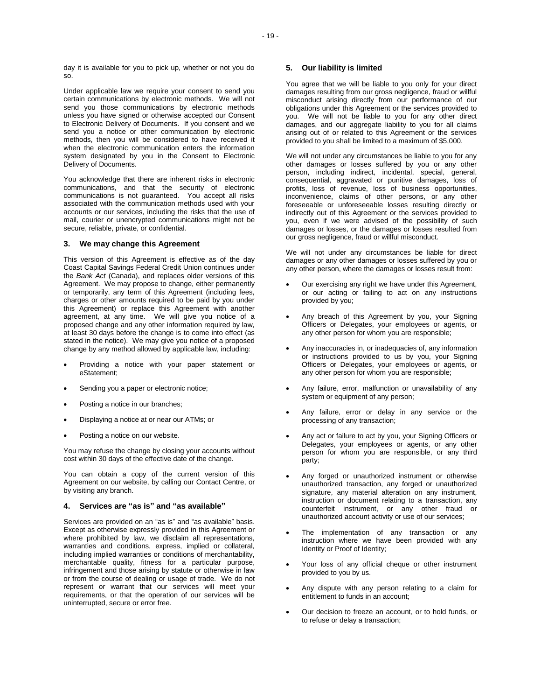day it is available for you to pick up, whether or not you do so.

Under applicable law we require your consent to send you certain communications by electronic methods. We will not send you those communications by electronic methods unless you have signed or otherwise accepted our Consent to Electronic Delivery of Documents. If you consent and we send you a notice or other communication by electronic methods, then you will be considered to have received it when the electronic communication enters the information system designated by you in the Consent to Electronic Delivery of Documents.

You acknowledge that there are inherent risks in electronic communications, and that the security of electronic communications is not guaranteed. You accept all risks associated with the communication methods used with your accounts or our services, including the risks that the use of mail, courier or unencrypted communications might not be secure, reliable, private, or confidential.

#### **3. We may change this Agreement**

This version of this Agreement is effective as of the day Coast Capital Savings Federal Credit Union continues under the *Bank Act* (Canada), and replaces older versions of this Agreement. We may propose to change, either permanently or temporarily, any term of this Agreement (including fees, charges or other amounts required to be paid by you under this Agreement) or replace this Agreement with another agreement, at any time. We will give you notice of a proposed change and any other information required by law, at least 30 days before the change is to come into effect (as stated in the notice). We may give you notice of a proposed change by any method allowed by applicable law, including:

- Providing a notice with your paper statement or eStatement;
- Sending you a paper or electronic notice;
- Posting a notice in our branches;
- Displaying a notice at or near our ATMs; or
- Posting a notice on our website.

You may refuse the change by closing your accounts without cost within 30 days of the effective date of the change.

You can obtain a copy of the current version of this Agreement on our website, by calling our Contact Centre, or by visiting any branch.

# **4. Services are "as is" and "as available"**

Services are provided on an "as is" and "as available" basis. Except as otherwise expressly provided in this Agreement or where prohibited by law, we disclaim all representations, warranties and conditions, express, implied or collateral, including implied warranties or conditions of merchantability, merchantable quality, fitness for a particular purpose, infringement and those arising by statute or otherwise in law or from the course of dealing or usage of trade. We do not represent or warrant that our services will meet your requirements, or that the operation of our services will be uninterrupted, secure or error free.

## **5. Our liability is limited**

You agree that we will be liable to you only for your direct damages resulting from our gross negligence, fraud or willful misconduct arising directly from our performance of our obligations under this Agreement or the services provided to you. We will not be liable to you for any other direct damages, and our aggregate liability to you for all claims arising out of or related to this Agreement or the services provided to you shall be limited to a maximum of \$5,000.

We will not under any circumstances be liable to you for any other damages or losses suffered by you or any other person, including indirect, incidental, special, general, consequential, aggravated or punitive damages, loss of profits, loss of revenue, loss of business opportunities, inconvenience, claims of other persons, or any other foreseeable or unforeseeable losses resulting directly or indirectly out of this Agreement or the services provided to you, even if we were advised of the possibility of such damages or losses, or the damages or losses resulted from our gross negligence, fraud or willful misconduct.

We will not under any circumstances be liable for direct damages or any other damages or losses suffered by you or any other person, where the damages or losses result from:

- Our exercising any right we have under this Agreement, or our acting or failing to act on any instructions provided by you;
- Any breach of this Agreement by you, your Signing Officers or Delegates, your employees or agents, or any other person for whom you are responsible;
- Any inaccuracies in, or inadequacies of, any information or instructions provided to us by you, your Signing Officers or Delegates, your employees or agents, or any other person for whom you are responsible;
- Any failure, error, malfunction or unavailability of any system or equipment of any person;
- Any failure, error or delay in any service or the processing of any transaction;
- Any act or failure to act by you, your Signing Officers or Delegates, your employees or agents, or any other person for whom you are responsible, or any third party;
- Any forged or unauthorized instrument or otherwise unauthorized transaction, any forged or unauthorized signature, any material alteration on any instrument, instruction or document relating to a transaction, any counterfeit instrument, or any other fraud or unauthorized account activity or use of our services;
- The implementation of any transaction or any instruction where we have been provided with any Identity or Proof of Identity;
- Your loss of any official cheque or other instrument provided to you by us.
- Any dispute with any person relating to a claim for entitlement to funds in an account;
- Our decision to freeze an account, or to hold funds, or to refuse or delay a transaction;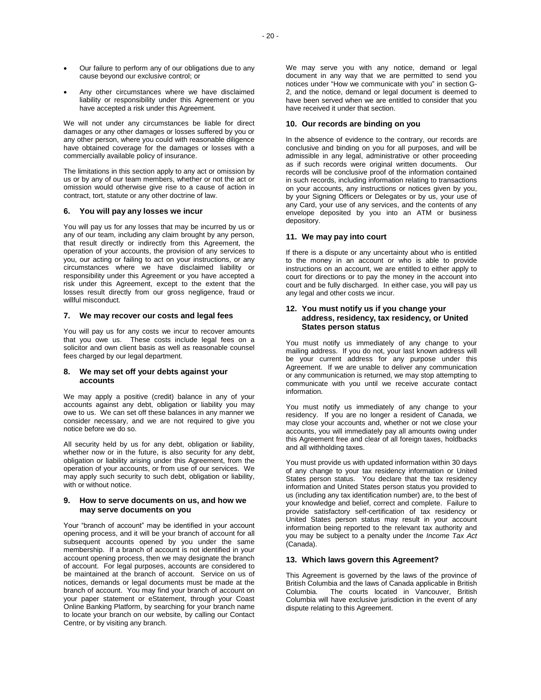- Our failure to perform any of our obligations due to any cause beyond our exclusive control; or
- Any other circumstances where we have disclaimed liability or responsibility under this Agreement or you have accepted a risk under this Agreement.

We will not under any circumstances be liable for direct damages or any other damages or losses suffered by you or any other person, where you could with reasonable diligence have obtained coverage for the damages or losses with a commercially available policy of insurance.

The limitations in this section apply to any act or omission by us or by any of our team members, whether or not the act or omission would otherwise give rise to a cause of action in contract, tort, statute or any other doctrine of law.

## **6. You will pay any losses we incur**

You will pay us for any losses that may be incurred by us or any of our team, including any claim brought by any person, that result directly or indirectly from this Agreement, the operation of your accounts, the provision of any services to you, our acting or failing to act on your instructions, or any circumstances where we have disclaimed liability or responsibility under this Agreement or you have accepted a risk under this Agreement, except to the extent that the losses result directly from our gross negligence, fraud or willful misconduct.

## **7. We may recover our costs and legal fees**

You will pay us for any costs we incur to recover amounts that you owe us. These costs include legal fees on a solicitor and own client basis as well as reasonable counsel fees charged by our legal department.

# **8. We may set off your debts against your accounts**

We may apply a positive (credit) balance in any of your accounts against any debt, obligation or liability you may owe to us. We can set off these balances in any manner we consider necessary, and we are not required to give you notice before we do so.

All security held by us for any debt, obligation or liability, whether now or in the future, is also security for any debt, obligation or liability arising under this Agreement, from the operation of your accounts, or from use of our services. We may apply such security to such debt, obligation or liability, with or without notice.

## **9. How to serve documents on us, and how we may serve documents on you**

Your "branch of account" may be identified in your account opening process, and it will be your branch of account for all subsequent accounts opened by you under the same membership. If a branch of account is not identified in your account opening process, then we may designate the branch of account. For legal purposes, accounts are considered to be maintained at the branch of account. Service on us of notices, demands or legal documents must be made at the branch of account. You may find your branch of account on your paper statement or eStatement, through your Coast Online Banking Platform, by searching for your branch name to locate your branch on our website, by calling our Contact Centre, or by visiting any branch.

We may serve you with any notice, demand or legal document in any way that we are permitted to send you notices under "How we communicate with you" in section G-2, and the notice, demand or legal document is deemed to have been served when we are entitled to consider that you have received it under that section.

## **10. Our records are binding on you**

In the absence of evidence to the contrary, our records are conclusive and binding on you for all purposes, and will be admissible in any legal, administrative or other proceeding as if such records were original written documents. Our records will be conclusive proof of the information contained in such records, including information relating to transactions on your accounts, any instructions or notices given by you, by your Signing Officers or Delegates or by us, your use of any Card, your use of any services, and the contents of any envelope deposited by you into an ATM or business depository.

# **11. We may pay into court**

If there is a dispute or any uncertainty about who is entitled to the money in an account or who is able to provide instructions on an account, we are entitled to either apply to court for directions or to pay the money in the account into court and be fully discharged. In either case, you will pay us any legal and other costs we incur.

# **12. You must notify us if you change your address, residency, tax residency, or United States person status**

You must notify us immediately of any change to your mailing address. If you do not, your last known address will be your current address for any purpose under this Agreement. If we are unable to deliver any communication or any communication is returned, we may stop attempting to communicate with you until we receive accurate contact information.

You must notify us immediately of any change to your residency. If you are no longer a resident of Canada, we may close your accounts and, whether or not we close your accounts, you will immediately pay all amounts owing under this Agreement free and clear of all foreign taxes, holdbacks and all withholding taxes.

You must provide us with updated information within 30 days of any change to your tax residency information or United States person status. You declare that the tax residency information and United States person status you provided to us (including any tax identification number) are, to the best of your knowledge and belief, correct and complete. Failure to provide satisfactory self-certification of tax residency or United States person status may result in your account information being reported to the relevant tax authority and you may be subject to a penalty under the *Income Tax Act* (Canada).

# **13. Which laws govern this Agreement?**

This Agreement is governed by the laws of the province of British Columbia and the laws of Canada applicable in British The courts located in Vancouver, British Columbia will have exclusive jurisdiction in the event of any dispute relating to this Agreement.